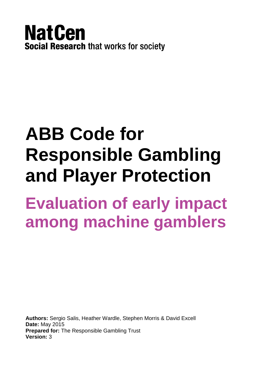

# **ABB Code for Responsible Gambling and Player Protection**

# **Evaluation of early impact among machine gamblers**

**Authors:** Sergio Salis, Heather Wardle, Stephen Morris & David Excell **Date:** May 2015 **Prepared for:** The Responsible Gambling Trust **Version:** 3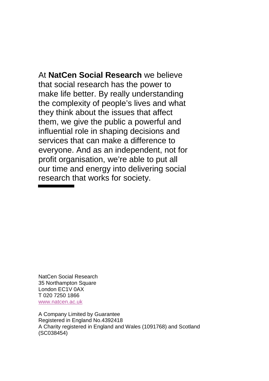At **NatCen Social Research** we believe that social research has the power to make life better. By really understanding the complexity of people's lives and what they think about the issues that affect them, we give the public a powerful and influential role in shaping decisions and services that can make a difference to everyone. And as an independent, not for profit organisation, we're able to put all our time and energy into delivering social research that works for society.

NatCen Social Research 35 Northampton Square London EC1V 0AX T 020 7250 1866 [www.natcen.ac.uk](http://www.natcen.ac.uk/)

A Company Limited by Guarantee Registered in England No.4392418 A Charity registered in England and Wales (1091768) and Scotland (SC038454)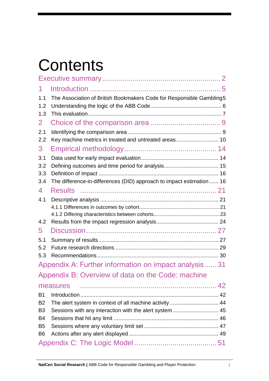# **Contents**

| 1              |                                                                       |  |
|----------------|-----------------------------------------------------------------------|--|
| 1.1<br>1.2     | The Association of British Bookmakers Code for Responsible Gambling5  |  |
| 1.3            |                                                                       |  |
| $\mathbf{2}$   |                                                                       |  |
| 2.1            |                                                                       |  |
| 2.2            | Key machine metrics in treated and untreated areas 10                 |  |
| 3              |                                                                       |  |
| 3.1            |                                                                       |  |
| 3.2            |                                                                       |  |
| 3.3            |                                                                       |  |
| 3.4            | The difference-in-differences (DID) approach to impact estimation  16 |  |
| 4              |                                                                       |  |
| 4.1            |                                                                       |  |
|                |                                                                       |  |
|                |                                                                       |  |
| 4.2            |                                                                       |  |
| 5              |                                                                       |  |
| 5.1            |                                                                       |  |
| 5.2            |                                                                       |  |
| 5.3            |                                                                       |  |
|                | Appendix A: Further information on impact analysis 31                 |  |
|                | Appendix B: Overview of data on the Code: machine                     |  |
|                | measures                                                              |  |
| <b>B1</b>      |                                                                       |  |
| B <sub>2</sub> | The alert system in context of all machine activity  44               |  |
| B <sub>3</sub> | Sessions with any interaction with the alert system  45               |  |
| <b>B4</b>      |                                                                       |  |
| B <sub>5</sub> |                                                                       |  |
| B <sub>6</sub> |                                                                       |  |
|                |                                                                       |  |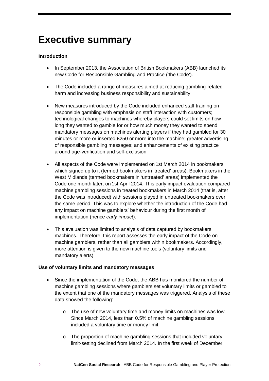## <span id="page-3-0"></span>**Executive summary**

#### **Introduction**

- In September 2013, the Association of British Bookmakers (ABB) launched its new Code for Responsible Gambling and Practice ('the Code').
- The Code included a range of measures aimed at reducing gambling-related harm and increasing business responsibility and sustainability.
- New measures introduced by the Code included enhanced staff training on responsible gambling with emphasis on staff interaction with customers; technological changes to machines whereby players could set limits on how long they wanted to gamble for or how much money they wanted to spend; mandatory messages on machines alerting players if they had gambled for 30 minutes or more or inserted £250 or more into the machine; greater advertising of responsible gambling messages; and enhancements of existing practice around age-verification and self-exclusion.
- All aspects of the Code were implemented on 1st March 2014 in bookmakers which signed up to it (termed bookmakers in 'treated' areas). Bookmakers in the West Midlands (termed bookmakers in *'*untreated' areas) implemented the Code one month later, on 1st April 2014. This early impact evaluation compared machine gambling sessions in treated bookmakers in March 2014 (that is, after the Code was introduced) with sessions played in untreated bookmakers over the same period. This was to explore whether the introduction of the Code had any impact on machine gamblers' behaviour during the first month of implementation (hence *early impact*).
- This evaluation was limited to analysis of data captured by bookmakers' machines. Therefore, this report assesses the early impact of the Code on machine gamblers, rather than all gamblers within bookmakers. Accordingly, more attention is given to the new machine tools (voluntary limits and mandatory alerts).

#### **Use of voluntary limits and mandatory messages**

- Since the implementation of the Code, the ABB has monitored the number of machine gambling sessions where gamblers set voluntary limits or gambled to the extent that one of the mandatory messages was triggered. Analysis of these data showed the following:
	- o The use of new voluntary time and money limits on machines was low. Since March 2014, less than 0.5% of machine gambling sessions included a voluntary time or money limit;
	- o The proportion of machine gambling sessions that included voluntary limit-setting declined from March 2014. In the first week of December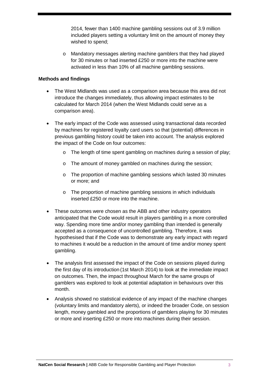2014, fewer than 1400 machine gambling sessions out of 3.9 million included players setting a voluntary limit on the amount of money they wished to spend;

o Mandatory messages alerting machine gamblers that they had played for 30 minutes or had inserted £250 or more into the machine were activated in less than 10% of all machine gambling sessions.

#### **Methods and findings**

- The West Midlands was used as a comparison area because this area did not introduce the changes immediately, thus allowing impact estimates to be calculated for March 2014 (when the West Midlands could serve as a comparison area).
- The early impact of the Code was assessed using transactional data recorded by machines for registered loyalty card users so that (potential) differences in previous gambling history could be taken into account. The analysis explored the impact of the Code on four outcomes:
	- o The length of time spent gambling on machines during a session of play;
	- o The amount of money gambled on machines during the session;
	- o The proportion of machine gambling sessions which lasted 30 minutes or more; and
	- o The proportion of machine gambling sessions in which individuals inserted £250 or more into the machine.
- These outcomes were chosen as the ABB and other industry operators anticipated that the Code would result in players gambling in a more controlled way. Spending more time and/or money gambling than intended is generally accepted as a consequence of uncontrolled gambling. Therefore, it was hypothesised that if the Code was to demonstrate any early impact with regard to machines it would be a reduction in the amount of time and/or money spent gambling.
- The analysis first assessed the impact of the Code on sessions played during the first day of its introduction (1st March 2014) to look at the immediate impact on outcomes. Then, the impact throughout March for the same groups of gamblers was explored to look at potential adaptation in behaviours over this month.
- Analysis showed no statistical evidence of any impact of the machine changes (voluntary limits and mandatory alerts), or indeed the broader Code, on session length, money gambled and the proportions of gamblers playing for 30 minutes or more and inserting £250 or more into machines during their session.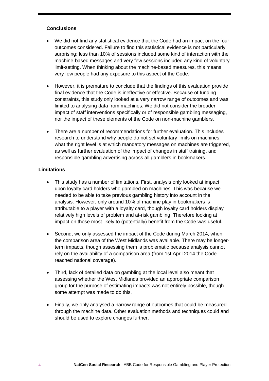#### **Conclusions**

- We did not find any statistical evidence that the Code had an impact on the four outcomes considered. Failure to find this statistical evidence is not particularly surprising: less than 10% of sessions included some kind of interaction with the machine-based messages and very few sessions included any kind of voluntary limit-setting. When thinking about the machine-based measures, this means very few people had any exposure to this aspect of the Code.
- However, it is premature to conclude that the findings of this evaluation provide final evidence that the Code is ineffective or effective. Because of funding constraints, this study only looked at a very narrow range of outcomes and was limited to analysing data from machines. We did not consider the broader impact of staff interventions specifically or of responsible gambling messaging, nor the impact of these elements of the Code on non-machine gamblers.
- There are a number of recommendations for further evaluation. This includes research to understand why people do not set voluntary limits on machines, what the right level is at which mandatory messages on machines are triggered, as well as further evaluation of the impact of changes in staff training, and responsible gambling advertising across all gamblers in bookmakers.

#### **Limitations**

- This study has a number of limitations. First, analysis only looked at impact upon loyalty card holders who gambled on machines. This was because we needed to be able to take previous gambling history into account in the analysis. However, only around 10% of machine play in bookmakers is attributable to a player with a loyalty card, though loyalty card holders display relatively high levels of problem and at-risk gambling. Therefore looking at impact on those most likely to (potentially) benefit from the Code was useful.
- Second, we only assessed the impact of the Code during March 2014, when the comparison area of the West Midlands was available. There may be longerterm impacts, though assessing them is problematic because analysis cannot rely on the availability of a comparison area (from 1st April 2014 the Code reached national coverage).
- Third, lack of detailed data on gambling at the local level also meant that assessing whether the West Midlands provided an appropriate comparison group for the purpose of estimating impacts was not entirely possible, though some attempt was made to do this.
- Finally, we only analysed a narrow range of outcomes that could be measured through the machine data. Other evaluation methods and techniques could and should be used to explore changes further.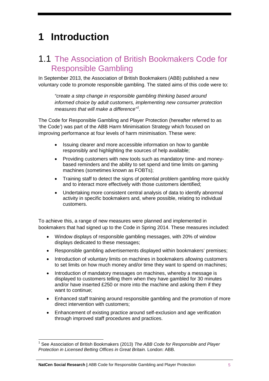# <span id="page-6-0"></span>**1 Introduction**

### <span id="page-6-1"></span>1.1 The Association of British Bookmakers Code for Responsible Gambling

In September 2013, the Association of British Bookmakers (ABB) published a new voluntary code to promote responsible gambling. The stated aims of this code were to:

*"create a step change in responsible gambling thinking based around informed choice by adult customers, implementing new consumer protection measures that will make a difference"[1](#page-6-2) .*

The Code for Responsible Gambling and Player Protection (hereafter referred to as 'the Code') was part of the ABB Harm Minimisation Strategy which focused on improving performance at four levels of harm minimisation. These were:

- Issuing clearer and more accessible information on how to gamble responsibly and highlighting the sources of help available;
- Providing customers with new tools such as mandatory time- and moneybased reminders and the ability to set spend and time limits on gaming machines (sometimes known as FOBTs);
- Training staff to detect the signs of potential problem gambling more quickly and to interact more effectively with those customers identified;
- Undertaking more consistent central analysis of data to identify abnormal activity in specific bookmakers and, where possible, relating to individual customers.

To achieve this, a range of new measures were planned and implemented in bookmakers that had signed up to the Code in Spring 2014. These measures included:

- Window displays of responsible gambling messages, with 20% of window displays dedicated to these messages;
- Responsible gambling advertisements displayed within bookmakers' premises;
- Introduction of voluntary limits on machines in bookmakers allowing customers to set limits on how much money and/or time they want to spend on machines;
- Introduction of mandatory messages on machines, whereby a message is displayed to customers telling them when they have gambled for 30 minutes and/or have inserted £250 or more into the machine and asking them if they want to continue;
- Enhanced staff training around responsible gambling and the promotion of more direct intervention with customers;
- Enhancement of existing practice around self-exclusion and age verification through improved staff procedures and practices.

<span id="page-6-2"></span><sup>1</sup> See Association of British Bookmakers (2013) *The ABB Code for Responsible and Player Protection in Licensed Betting Offices in Great Britain.* London: ABB.  $\overline{a}$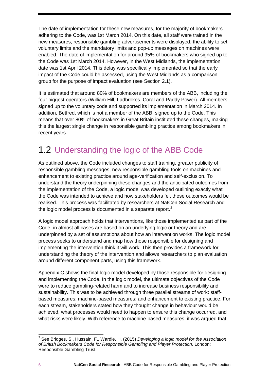The date of implementation for these new measures, for the majority of bookmakers adhering to the Code, was 1st March 2014. On this date, all staff were trained in the new measures, responsible gambling advertisements were displayed, the ability to set voluntary limits and the mandatory limits and pop-up messages on machines were enabled. The date of implementation for around 95% of bookmakers who signed up to the Code was 1st March 2014. However, in the West Midlands, the implementation date was 1st April 2014. This delay was specifically implemented so that the early impact of the Code could be assessed, using the West Midlands as a comparison group for the purpose of impact evaluation (see Section 2.1).

It is estimated that around 80% of bookmakers are members of the ABB, including the four biggest operators (William Hill, Ladbrokes, Coral and Paddy Power). All members signed up to the voluntary code and supported its implementation in March 2014. In addition, Betfred, which is not a member of the ABB, signed up to the Code. This means that over 80% of bookmakers in Great Britain instituted these changes, making this the largest single change in responsible gambling practice among bookmakers in recent years.

### <span id="page-7-0"></span>1.2 Understanding the logic of the ABB Code

As outlined above, the Code included changes to staff training, greater publicity of responsible gambling messages, new responsible gambling tools on machines and enhancement to existing practice around age-verification and self-exclusion. To understand the theory underpinning these changes and the anticipated outcomes from the implementation of the Code, a logic model was developed outlining exactly what the Code was intended to achieve and how stakeholders felt these outcomes would be realised. This process was facilitated by researchers at NatCen Social Research and the logic model process is documented in a separate report.<sup>[2](#page-7-1)</sup>

A logic model approach holds that interventions, like those implemented as part of the Code, in almost all cases are based on an underlying logic or theory and are underpinned by a set of assumptions about how an intervention works. The logic model process seeks to understand and map how those responsible for designing and implementing the intervention think it will work. This then provides a framework for understanding the theory of the intervention and allows researchers to plan evaluation around different component parts, using this framework.

Appendix C shows the final logic model developed by those responsible for designing and implementing the Code. In the logic model, the ultimate objectives of the Code were to reduce gambling-related harm and to increase business responsibility and sustainability. This was to be achieved through three parallel streams of work: staffbased measures; machine-based measures; and enhancement to existing practice. For each stream, stakeholders stated how they thought change in behaviour would be achieved, what processes would need to happen to ensure this change occurred, and what risks were likely. With reference to machine-based measures, it was argued that

<span id="page-7-1"></span><sup>2</sup> See Bridges, S., Hussain, F., Wardle, H. (2015) *Developing a logic model for the Association of British Bookmakers Code for Responsible Gambling and Player Protection.* London: Responsible Gambling Trust.  $\overline{a}$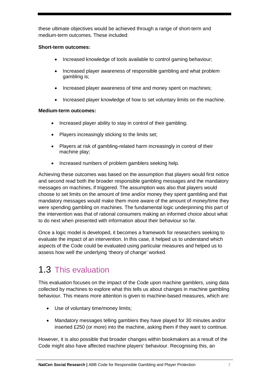these ultimate objectives would be achieved through a range of short-term and medium-term outcomes. These included:

#### **Short-term outcomes:**

- Increased knowledge of tools available to control gaming behaviour;
- Increased player awareness of responsible gambling and what problem gambling is;
- Increased player awareness of time and money spent on machines;
- Increased player knowledge of how to set voluntary limits on the machine.

#### **Medium-term outcomes:**

- Increased player ability to stay in control of their gambling;
- Players increasingly sticking to the limits set;
- Players at risk of gambling-related harm increasingly in control of their machine play;
- Increased numbers of problem gamblers seeking help.

Achieving these outcomes was based on the assumption that players would first notice and second read both the broader responsible gambling messages and the mandatory messages on machines, if triggered. The assumption was also that players would choose to set limits on the amount of time and/or money they spent gambling and that mandatory messages would make them more aware of the amount of money/time they were spending gambling on machines. The fundamental logic underpinning this part of the intervention was that of rational consumers making an informed choice about what to do next when presented with information about their behaviour so far.

Once a logic model is developed, it becomes a framework for researchers seeking to evaluate the impact of an intervention. In this case, it helped us to understand which aspects of the Code could be evaluated using particular measures and helped us to assess how well the underlying 'theory of change' worked.

### <span id="page-8-0"></span>1.3 This evaluation

This evaluation focuses on the impact of the Code upon machine gamblers, using data collected by machines to explore what this tells us about changes in machine gambling behaviour. This means more attention is given to machine-based measures, which are:

- Use of voluntary time/money limits;
- Mandatory messages telling gamblers they have played for 30 minutes and/or inserted £250 (or more) into the machine, asking them if they want to continue.

However, it is also possible that broader changes within bookmakers as a result of the Code might also have affected machine players' behaviour. Recognising this, an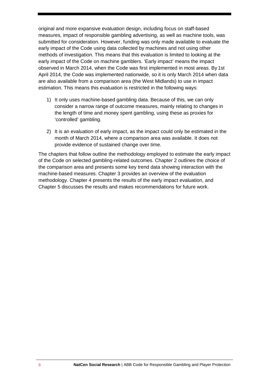original and more expansive evaluation design, including focus on staff-based measures, impact of responsible gambling advertising, as well as machine tools, was submitted for consideration. However, funding was only made available to evaluate the early impact of the Code using data collected by machines and not using other methods of investigation. This means that this evaluation is limited to looking at the early impact of the Code on machine gamblers. 'Early impact' means the impact observed in March 2014, when the Code was first implemented in most areas. By 1st April 2014, the Code was implemented nationwide, so it is only March 2014 when data are also available from a comparison area (the West Midlands) to use in impact estimation. This means this evaluation is restricted in the following ways:

- 1) It only uses machine-based gambling data. Because of this, we can only consider a narrow range of outcome measures, mainly relating to changes in the length of time and money spent gambling, using these as proxies for 'controlled' gambling.
- 2) It is an evaluation of early impact, as the impact could only be estimated in the month of March 2014, where a comparison area was available. It does not provide evidence of sustained change over time.

The chapters that follow outline the methodology employed to estimate the early impact of the Code on selected gambling-related outcomes. Chapter 2 outlines the choice of the comparison area and presents some key trend data showing interaction with the machine-based measures. Chapter 3 provides an overview of the evaluation methodology. Chapter 4 presents the results of the early impact evaluation, and Chapter 5 discusses the results and makes recommendations for future work.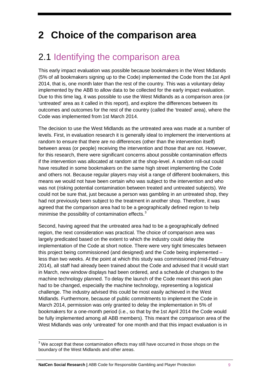# <span id="page-10-0"></span>**2 Choice of the comparison area**

### <span id="page-10-1"></span>2.1 Identifying the comparison area

This early impact evaluation was possible because bookmakers in the West Midlands (5% of all bookmakers signing up to the Code) implemented the Code from the 1st April 2014, that is, one month later than the rest of the country. This was a voluntary delay implemented by the ABB to allow data to be collected for the early impact evaluation. Due to this time lag, it was possible to use the West Midlands as a comparison area (or 'untreated' area as it called in this report), and explore the differences between its outcomes and outcomes for the rest of the country (called the 'treated' area), where the Code was implemented from 1st March 2014.

The decision to use the West Midlands as the untreated area was made at a number of levels. First, in evaluation research it is generally ideal to implement the interventions at random to ensure that there are no differences (other than the intervention itself) between areas (or people) receiving the intervention and those that are not. However, for this research, there were significant concerns about possible contamination effects if the intervention was allocated at random at the shop-level. A random roll-out could have resulted in some bookmakers on the same high street implementing the Code and others not. Because regular players may visit a range of different bookmakers, this means we would not have been certain who was subject to the intervention and who was not (risking potential contamination between treated and untreated subjects). We could not be sure that, just because a person was gambling in an untreated shop, they had not previously been subject to the treatment in another shop. Therefore, it was agreed that the comparison area had to be a geographically defined region to help minimise the possibility of contamination effects.<sup>[3](#page-10-2)</sup>

Second, having agreed that the untreated area had to be a geographically defined region, the next consideration was practical. The choice of comparison area was largely predicated based on the extent to which the industry could delay the implementation of the Code at short notice. There were very tight timescales between this project being commissioned (and designed) and the Code being implemented – less than two weeks. At the point at which this study was commissioned (mid-February 2014), all staff had already been trained about the Code and advised that it would start in March, new window displays had been ordered, and a schedule of changes to the machine technology planned. To delay the launch of the Code meant this work plan had to be changed, especially the machine technology, representing a logistical challenge. The industry advised this could be most easily achieved in the West Midlands. Furthermore, because of public commitments to implement the Code in March 2014, permission was only granted to delay the implementation in 5% of bookmakers for a one-month period (i.e., so that by the 1st April 2014 the Code would be fully implemented among all ABB members). This meant the comparison area of the West Midlands was only 'untreated' for one month and that this impact evaluation is in

 $\overline{a}$ 

<span id="page-10-2"></span> $3$  We accept that these contamination effects may still have occurred in those shops on the boundary of the West Midlands and other areas.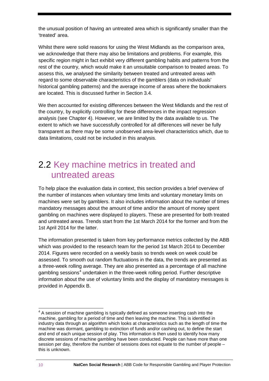the unusual position of having an untreated area which is significantly smaller than the 'treated' area.

Whilst there were solid reasons for using the West Midlands as the comparison area, we acknowledge that there may also be limitations and problems. For example, this specific region might in fact exhibit very different gambling habits and patterns from the rest of the country, which would make it an unsuitable comparison to treated areas. To assess this, we analysed the similarity between treated and untreated areas with regard to some observable characteristics of the gamblers (data on individuals' historical gambling patterns) and the average income of areas where the bookmakers are located. This is discussed further in Section 3.4.

We then accounted for existing differences between the West Midlands and the rest of the country, by explicitly controlling for these differences in the impact regression analysis (see Chapter 4). However, we are limited by the data available to us. The extent to which we have successfully controlled for all differences will never be fully transparent as there may be some unobserved area-level characteristics which, due to data limitations, could not be included in this analysis.

### <span id="page-11-0"></span>2.2 Key machine metrics in treated and untreated areas

To help place the evaluation data in context, this section provides a brief overview of the number of instances when voluntary time limits and voluntary monetary limits on machines were set by gamblers. It also includes information about the number of times mandatory messages about the amount of time and/or the amount of money spent gambling on machines were displayed to players. These are presented for both treated and untreated areas. Trends start from the 1st March 2014 for the former and from the 1st April 2014 for the latter.

The information presented is taken from key performance metrics collected by the ABB which was provided to the research team for the period 1st March 2014 to December 2014. Figures were recorded on a weekly basis so trends week on week could be assessed. To smooth out random fluctuations in the data, the trends are presented as a three-week rolling average. They are also presented as a percentage of all machine gambling sessions<sup>[4](#page-11-1)</sup> undertaken in the three-week rolling period. Further descriptive information about the use of voluntary limits and the display of mandatory messages is provided in Appendix B.

<span id="page-11-1"></span> $4\,$  A session of machine gambling is typically defined as someone inserting cash into the machine, gambling for a period of time and then leaving the machine. This is identified in industry data through an algorithm which looks at characteristics such as the length of time the machine was dormant, gambling to extinction of funds and/or cashing out, to define the start and end of each unique session of play. This information is then used to identify how many discrete sessions of machine gambling have been conducted. People can have more than one session per day, therefore the number of sessions does not equate to the number of people – this is unknown.  $\overline{\phantom{a}}$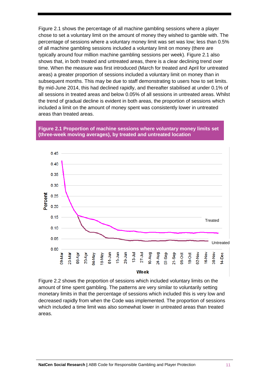Figure 2.1 shows the percentage of all machine gambling sessions where a player chose to set a voluntary limit on the amount of money they wished to gamble with. The percentage of sessions where a voluntary money limit was set was low; less than 0.5% of all machine gambling sessions included a voluntary limit on money (there are typically around four million machine gambling sessions per week). Figure 2.1 also shows that, in both treated and untreated areas, there is a clear declining trend over time. When the measure was first introduced (March for treated and April for untreated areas) a greater proportion of sessions included a voluntary limit on money than in subsequent months. This may be due to staff demonstrating to users how to set limits. By mid-June 2014, this had declined rapidly, and thereafter stabilised at under 0.1% of all sessions in treated areas and below 0.05% of all sessions in untreated areas. Whilst the trend of gradual decline is evident in both areas, the proportion of sessions which included a limit on the amount of money spent was consistently lower in untreated areas than treated areas.

#### **Figure 2.1 Proportion of machine sessions where voluntary money limits set (three-week moving averages), by treated and untreated location**



Figure 2.2 shows the proportion of sessions which included voluntary limits on the amount of time spent gambling. The patterns are very similar to voluntarily setting monetary limits in that the percentage of sessions which included this is very low and decreased rapidly from when the Code was implemented. The proportion of sessions which included a time limit was also somewhat lower in untreated areas than treated areas.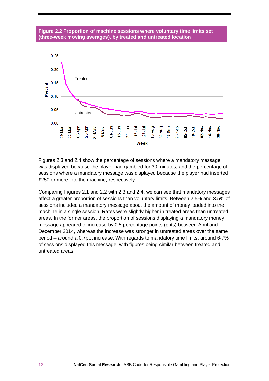#### **Figure 2.2 Proportion of machine sessions where voluntary time limits set (three-week moving averages), by treated and untreated location**



Figures 2.3 and 2.4 show the percentage of sessions where a mandatory message was displayed because the player had gambled for 30 minutes, and the percentage of sessions where a mandatory message was displayed because the player had inserted £250 or more into the machine, respectively.

Comparing Figures 2.1 and 2.2 with 2.3 and 2.4, we can see that mandatory messages affect a greater proportion of sessions than voluntary limits. Between 2.5% and 3.5% of sessions included a mandatory message about the amount of money loaded into the machine in a single session. Rates were slightly higher in treated areas than untreated areas. In the former areas, the proportion of sessions displaying a mandatory money message appeared to increase by 0.5 percentage points (ppts) between April and December 2014, whereas the increase was stronger in untreated areas over the same period – around a 0.7ppt increase. With regards to mandatory time limits, around 6-7% of sessions displayed this message, with figures being similar between treated and untreated areas.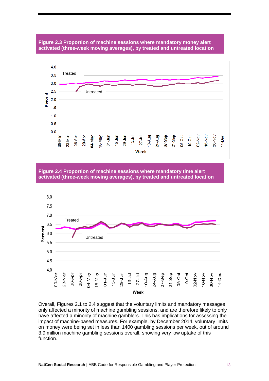#### **Figure 2.3 Proportion of machine sessions where mandatory money alert activated (three-week moving averages), by treated and untreated location**



**Figure 2.4 Proportion of machine sessions where mandatory time alert activated (three-week moving averages), by treated and untreated location**



Overall, Figures 2.1 to 2.4 suggest that the voluntary limits and mandatory messages only affected a minority of machine gambling sessions, and are therefore likely to only have affected a minority of machine gamblers. This has implications for assessing the impact of machine-based measures. For example, by December 2014, voluntary limits on money were being set in less than 1400 gambling sessions per week, out of around 3.9 million machine gambling sessions overall, showing very low uptake of this function.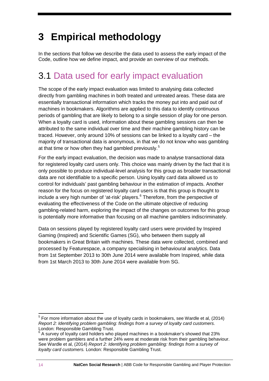# <span id="page-15-0"></span>**3 Empirical methodology**

In the sections that follow we describe the data used to assess the early impact of the Code, outline how we define impact, and provide an overview of our methods.

### <span id="page-15-1"></span>3.1 Data used for early impact evaluation

The scope of the early impact evaluation was limited to analysing data collected directly from gambling machines in both treated and untreated areas. These data are essentially transactional information which tracks the money put into and paid out of machines in bookmakers. Algorithms are applied to this data to identify continuous periods of gambling that are likely to belong to a single session of play for one person. When a loyalty card is used, information about these gambling sessions can then be attributed to the same individual over time and their machine gambling history can be traced. However, only around 10% of sessions can be linked to a loyalty card – the majority of transactional data is anonymous, in that we do not know who was gambling at that time or how often they had gambled previously.<sup>[5](#page-15-2)</sup>

For the early impact evaluation, the decision was made to analyse transactional data for registered loyalty card users only. This choice was mainly driven by the fact that it is only possible to produce individual-level analysis for this group as broader transactional data are not identifiable to a specific person. Using loyalty card data allowed us to control for individuals' past gambling behaviour in the estimation of impacts. Another reason for the focus on registered loyalty card users is that this group is thought to include a very high number of 'at-risk' players. $6$  Therefore, from the perspective of evaluating the effectiveness of the Code on the ultimate objective of reducing gambling-related harm, exploring the impact of the changes on outcomes for this group is potentially more informative than focusing on all machine gamblers indiscriminately.

Data on sessions played by registered loyalty card users were provided by Inspired Gaming (Inspired) and Scientific Games (SG), who between them supply all bookmakers in Great Britain with machines. These data were collected, combined and processed by Featurespace, a company specialising in behavioural analytics. Data from 1st September 2013 to 30th June 2014 were available from Inspired, while data from 1st March 2013 to 30th June 2014 were available from SG.

<span id="page-15-2"></span> $<sup>5</sup>$  For more information about the use of loyalty cards in bookmakers, see Wardle et al, (2014)</sup> *Report 2: Identifying problem gambling: findings from a survey of loyalty card customers.*<br>London: Responsible Gambling Trust.  $\overline{a}$ 

<span id="page-15-3"></span> $6$  A survey of loyalty card holders who played machines in a bookmaker's showed that 23% were problem gamblers and a further 24% were at moderate risk from their gambling behaviour. See Wardle et al, (2014) *Report 2: Identifying problem gambling: findings from a survey of loyalty card customers.* London: Responsible Gambling Trust.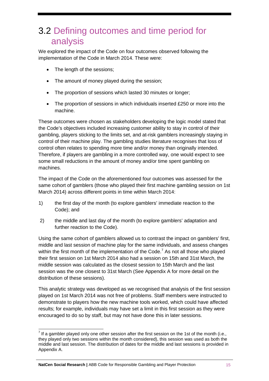### <span id="page-16-0"></span>3.2 Defining outcomes and time period for analysis

We explored the impact of the Code on four outcomes observed following the implementation of the Code in March 2014. These were:

- The length of the sessions;
- The amount of money played during the session;
- The proportion of sessions which lasted 30 minutes or longer;
- The proportion of sessions in which individuals inserted £250 or more into the machine.

These outcomes were chosen as stakeholders developing the logic model stated that the Code's objectives included increasing customer ability to stay in control of their gambling, players sticking to the limits set, and at-risk gamblers increasingly staying in control of their machine play. The gambling studies literature recognises that loss of control often relates to spending more time and/or money than originally intended. Therefore, if players are gambling in a more controlled way, one would expect to see some small reductions in the amount of money and/or time spent gambling on machines.

The impact of the Code on the aforementioned four outcomes was assessed for the same cohort of gamblers (those who played their first machine gambling session on 1st March 2014) across different points in time within March 2014:

- 1) the first day of the month (to explore gamblers' immediate reaction to the Code); and
- 2) the middle and last day of the month (to explore gamblers' adaptation and further reaction to the Code).

Using the same cohort of gamblers allowed us to contrast the impact on gamblers' first, middle and last session of machine play for the same individuals, and assess changes within the first month of the implementation of the Code.<sup>[7](#page-16-1)</sup> As not all those who played their first session on 1st March 2014 also had a session on 15th and 31st March, the middle session was calculated as the closest session to 15th March and the last session was the one closest to 31st March (See Appendix A for more detail on the distribution of these sessions).

This analytic strategy was developed as we recognised that analysis of the first session played on 1st March 2014 was not free of problems. Staff members were instructed to demonstrate to players how the new machine tools worked, which could have affected results; for example, individuals may have set a limit in this first session as they were encouraged to do so by staff, but may not have done this in later sessions.

<span id="page-16-1"></span> $^7$  If a gambler played only one other session after the first session on the 1st of the month (i.e., they played only two sessions within the month considered), this session was used as both the middle and last session. The distribution of dates for the middle and last sessions is provided in Appendix A.  $\overline{a}$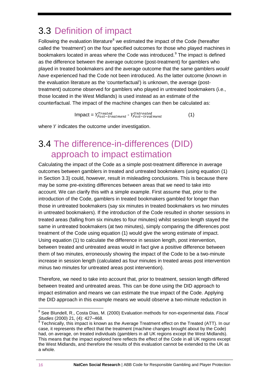## <span id="page-17-0"></span>3.3 Definition of impact

Following the evaluation literature<sup>[8](#page-17-2)</sup> we estimated the impact of the Code (hereafter called the 'treatment') on the four specified outcomes for those who played machines in bookmakers located in areas where the Code was introduced.<sup>[9](#page-17-3)</sup> The impact is defined as the difference between the average outcome (post-treatment) for gamblers who played in treated bookmakers and the average outcome that the same gamblers *would have* experienced had the Code not been introduced. As the latter outcome (known in the evaluation literature as the 'counterfactual') is unknown, the average (posttreatment) outcome observed for gamblers who played in untreated bookmakers (i.e., those located in the West Midlands) is used instead as an estimate of the counterfactual. The impact of the machine changes can then be calculated as:

 $\begin{minipage}{0.9\linewidth} \textbf{Import} = Y_{Post-treatment}^{Treated} - Y_{Post-treatment}^{Untreated} \end{minipage} \tag{1}$ 

where  $Y$  indicates the outcome under investigation.

### <span id="page-17-1"></span>3.4 The difference-in-differences (DID) approach to impact estimation

Calculating the impact of the Code as a simple post-treatment difference in average outcomes between gamblers in treated and untreated bookmakers (using equation (1) in Section 3.3) could, however, result in misleading conclusions. This is because there may be some pre-existing differences between areas that we need to take into account. We can clarify this with a simple example. First assume that, prior to the introduction of the Code, gamblers in treated bookmakers gambled for longer than those in untreated bookmakers (say six minutes in treated bookmakers vs two minutes in untreated bookmakers). If the introduction of the Code resulted in shorter sessions in treated areas (falling from six minutes to four minutes) whilst session length stayed the same in untreated bookmakers (at two minutes), simply comparing the differences post treatment of the Code using equation (1) would give the wrong estimate of impact. Using equation (1) to calculate the difference in session length, post intervention, between treated and untreated areas would in fact give a positive difference between them of two minutes, erroneously showing the impact of the Code to be a two-minute increase in session length (calculated as four minutes in treated areas post intervention minus two minutes for untreated areas post intervention).

Therefore, we need to take into account that, prior to treatment, session length differed between treated and untreated areas. This can be done using the DID approach to impact estimation and means we can estimate the true impact of the Code. Applying the DID approach in this example means we would observe a two-minute reduction in

<span id="page-17-2"></span><sup>8</sup> See Blundell, R., Costa Dias, M. (2000) Evaluation methods for non-experimental data. *Fiscal Studies* (2000) 21, (4): 427–468.<br><sup>9</sup> Technically, this impact is known as the Average Treatment effect on the Treated (ATT). In our  $\overline{a}$ 

<span id="page-17-3"></span>case, it represents the effect that the treatment (machine changes brought about by the Code) had, on average, on treated individuals (gamblers in all UK regions except the West Midlands). This means that the impact explored here reflects the effect of the Code in all UK regions except the West Midlands, and therefore the results of this evaluation cannot be extended to the UK as a whole.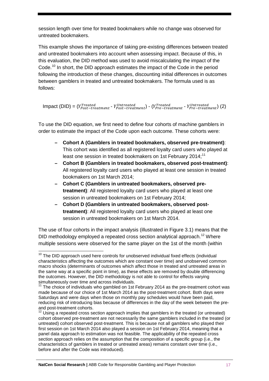session length over time for treated bookmakers while no change was observed for untreated bookmakers.

This example shows the importance of taking pre-existing differences between treated and untreated bookmakers into account when assessing impact. Because of this, in this evaluation, the DID method was used to avoid miscalculating the impact of the Code.<sup>[10](#page-18-0)</sup> In short, the DID approach estimates the impact of the Code in the period following the introduction of these changes, discounting initial differences in outcomes between gamblers in treated and untreated bookmakers. The formula used is as follows:

 $\text{Impact (DID)} = (Y_{Post-treated}^{Treated} - Y_{Post-treated}^{Untreated}) - (Y_{Pre-treated}^{Treated} - Y_{Pre-treated}^{Untreated}) \text{ (2)}$ 

To use the DID equation, we first need to define four cohorts of machine gamblers in order to estimate the impact of the Code upon each outcome. These cohorts were:

- **– Cohort A (Gamblers in treated bookmakers, observed pre-treatment)**: This cohort was identified as all registered loyalty card users who played at least one session in treated bookmakers on 1st February 2014;<sup>[11](#page-18-1)</sup>
- **– Cohort B (Gamblers in treated bookmakers, observed post-treatment)**: All registered loyalty card users who played at least one session in treated bookmakers on 1st March 2014;
- **– Cohort C (Gamblers in untreated bookmakers, observed pretreatment)**: All registered loyalty card users who played at least one session in untreated bookmakers on 1st February 2014;
- **– Cohort D (Gamblers in untreated bookmakers, observed posttreatment)**: All registered loyalty card users who played at least one session in untreated bookmakers on 1st March 2014.

The use of four cohorts in the impact analysis (illustrated in Figure 3.1) means that the DID methodology employed a repeated cross section analytical approach.<sup>[12](#page-18-2)</sup> Where multiple sessions were observed for the same player on the 1st of the month (within

<span id="page-18-0"></span><sup>&</sup>lt;sup>10</sup> The DID approach used here controls for unobserved individual fixed effects (individual characteristics affecting the outcomes which are constant over time) and unobserved common macro shocks (determinants of outcomes which affect those in treated and untreated areas in the same way at a specific point in time), as these effects are removed by double differencing the outcomes. However, the DID methodology is not able to control for effects varying simultaneously over time and across individuals.  $\overline{a}$ 

<span id="page-18-1"></span> $11$  The choice of individuals who gambled on 1st February 2014 as the pre-treatment cohort was made because of our choice of 1st March 2014 as the post-treatment cohort. Both days were Saturdays and were days when those on monthly pay schedules would have been paid, reducing risk of introducing bias because of differences in the day of the week between the preand post-treatment cohorts.

<span id="page-18-2"></span> $12$  Using a repeated cross section approach implies that gamblers in the treated (or untreated) cohort observed pre-treatment are not necessarily the same gamblers included in the treated (or untreated) cohort observed post-treatment. This is because not all gamblers who played their first session on 1st March 2014 also played a session on 1st February 2014, meaning that a panel data approach to estimation was not feasible. The applicability of the repeated cross section approach relies on the assumption that the composition of a specific group (i.e., the characteristics of gamblers in treated or untreated areas) remains constant over time (i.e., before and after the Code was introduced).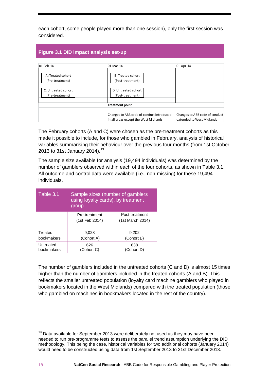each cohort, some people played more than one session), only the first session was considered.

#### **Figure 3.1 DID impact analysis set-up**

| $01$ -Feb-14                           | 01-Mar-14                                                                          | 01-Apr-14                                                   |
|----------------------------------------|------------------------------------------------------------------------------------|-------------------------------------------------------------|
| A: Treated cohort<br>(Pre-treatment)   | B: Treated cohort<br>(Post-treatment)                                              |                                                             |
| C: Untreated cohort<br>(Pre-treatment) | D: Untreated cohort<br>(Post-treatment)                                            |                                                             |
|                                        | <b>Treatment point</b>                                                             |                                                             |
|                                        | Changes to ABB code of conduct introduced<br>in all areas except the West Midlands | Changes to ABB code of conduct<br>extended to West Midlands |

The February cohorts (A and C) were chosen as the pre-treatment cohorts as this made it possible to include, for those who gambled in February, analysis of historical variables summarising their behaviour over the previous four months (from 1st October 20[13](#page-19-0) to 31st January 2014).<sup>13</sup>

The sample size available for analysis (19,494 individuals) was determined by the number of gamblers observed within each of the four cohorts, as shown in Table 3.1. All outcome and control data were available (i.e., non-missing) for these 19,494 individuals.

| Table 3.1                                    | Sample sizes (number of gamblers<br>using loyalty cards), by treatment<br>group |                                    |  |  |  |
|----------------------------------------------|---------------------------------------------------------------------------------|------------------------------------|--|--|--|
|                                              | Pre-treatment<br>(1st Feb 2014)                                                 | Post-treatment<br>(1st March 2014) |  |  |  |
| Treated<br>bookmakers                        | 9,028<br>(Cohort A)                                                             | 9,202<br>(Cohort B)                |  |  |  |
| Untreated<br>626<br>(Cohort C)<br>bookmakers |                                                                                 | 638<br>(Cohort D)                  |  |  |  |

The number of gamblers included in the untreated cohorts (C and D) is almost 15 times higher than the number of gamblers included in the treated cohorts (A and B). This reflects the smaller untreated population (loyalty card machine gamblers who played in bookmakers located in the West Midlands) compared with the treated population (those who gambled on machines in bookmakers located in the rest of the country).

<span id="page-19-0"></span> $13$  Data available for September 2013 were deliberately not used as they may have been needed to run pre-programme tests to assess the parallel trend assumption underlying the DID methodology. This being the case, historical variables for two additional cohorts (January 2014) would need to be constructed using data from 1st September 2013 to 31st December 2013.  $\overline{a}$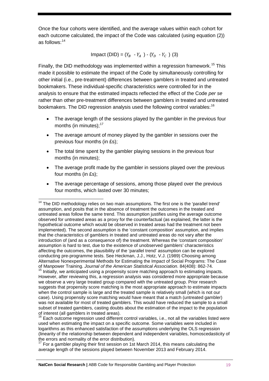Once the four cohorts were identified, and the average values within each cohort for each outcome calculated, the impact of the Code was calculated (using equation (2)) as follows: [14](#page-20-0)

Impact (DID) =  $(Y_B - Y_A) - (Y_D - Y_C)$  (3)

Finally, the DID methodology was implemented within a regression framework.<sup>[15](#page-20-1)</sup> This made it possible to estimate the impact of the Code by simultaneously controlling for other initial (i.e., pre-treatment) differences between gamblers in treated and untreated bookmakers. These individual-specific characteristics were controlled for in the analysis to ensure that the estimated impacts reflected the effect of the Code *per se* rather than other pre-treatment differences between gamblers in treated and untreated bookmakers. The DID regression analysis used the following control variables:<sup>[16](#page-20-2)</sup>

- The average length of the sessions played by the gambler in the previous four months (in minutes); [17](#page-20-3)
- The average amount of money played by the gambler in sessions over the previous four months (in £s);
- The total time spent by the gambler playing sessions in the previous four months (in minutes);
- The average profit made by the gambler in sessions played over the previous four months (in £s);
- The average percentage of sessions, among those played over the previous four months, which lasted over 30 minutes;

<span id="page-20-0"></span> $14$  The DID methodology relies on two main assumptions. The first one is the 'parallel trend' assumption, and posits that in the absence of treatment the outcomes in the treated and untreated areas follow the same trend. This assumption justifies using the average outcome observed for untreated areas as a proxy for the counterfactual (as explained, the latter is the hypothetical outcome which would be observed in treated areas had the treatment not been implemented). The second assumption is the 'constant composition' assumption, and implies that the characteristics of gamblers in treated and untreated areas do not vary after the introduction of (and as a consequence of) the treatment. Whereas the 'constant composition' assumption is hard to test, due to the existence of unobserved gamblers' characteristics affecting the outcomes, the plausibility of the 'parallel trend' assumption can be explored conducting pre-programme tests. See Heckman, J.J., Hotz, V.J. (1989) Choosing among Alternative Nonexperimental Methods for Estimating the Impact of Social Programs: The Case of Manpower Training. *Journal of the American Statistical Association*. 84(408): 862-74.  $\overline{a}$ 

<span id="page-20-1"></span> $15$  Initially, we anticipated using a propensity score matching approach to estimating impacts. However, after reviewing this, a regression analysis was considered more appropriate because we observe a very large treated group compared with the untreated group. Prior research suggests that propensity score matching is the most appropriate approach to estimate impacts when the control sample is large and the treated sample is relatively small (which is not our case). Using propensity score matching would have meant that a match (untreated gambler) was not available for most of treated gamblers. This would have reduced the sample to a small subset of treated gamblers, casting doubts about the estimation of the impact to the population of interest (all gamblers in treated areas).<br><sup>16</sup> Each outcome regression used different control variables, i.e., not all the variables listed were

<span id="page-20-2"></span>used when estimating the impact on a specific outcome. Some variables were included in logarithms as this enhanced satisfaction of the assumptions underlying the OLS regression (linearity of the relationship between dependent and independent variables, homoscedasticity of the errors and normality of the error distribution).

<span id="page-20-3"></span> $17$  For a gambler playing their first session on 1st March 2014, this means calculating the average length of the sessions played between November 2013 and February 2014.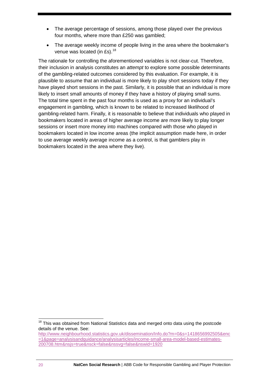- The average percentage of sessions, among those played over the previous four months, where more than £250 was gambled;
- The average weekly income of people living in the area where the bookmaker's venue was located (in £s).<sup>[18](#page-21-0)</sup>

The rationale for controlling the aforementioned variables is not clear-cut. Therefore, their inclusion in analysis constitutes an *attempt* to explore some possible determinants of the gambling-related outcomes considered by this evaluation. For example, it is plausible to assume that an individual is more likely to play short sessions today if they have played short sessions in the past. Similarly, it is possible that an individual is more likely to insert small amounts of money if they have a history of playing small sums. The total time spent in the past four months is used as a proxy for an individual's engagement in gambling, which is known to be related to increased likelihood of gambling-related harm. Finally, it is reasonable to believe that individuals who played in bookmakers located in areas of higher average income are more likely to play longer sessions or insert more money into machines compared with those who played in bookmakers located in low income areas (the implicit assumption made here, in order to use average weekly average income as a control, is that gamblers play in bookmakers located in the area where they live).

<span id="page-21-0"></span><sup>&</sup>lt;sup>18</sup> This was obtained from National Statistics data and merged onto data using the postcode details of the venue. See:  $\overline{a}$ 

[http://www.neighbourhood.statistics.gov.uk/dissemination/Info.do?m=0&s=1418656992505&enc](http://www.neighbourhood.statistics.gov.uk/dissemination/Info.do?m=0&s=1418656992505&enc=1&page=analysisandguidance/analysisarticles/income-small-area-model-based-estimates-200708.htm&nsjs=true&nsck=false&nssvg=false&nswid=1920) [=1&page=analysisandguidance/analysisarticles/income-small-area-model-based-estimates-](http://www.neighbourhood.statistics.gov.uk/dissemination/Info.do?m=0&s=1418656992505&enc=1&page=analysisandguidance/analysisarticles/income-small-area-model-based-estimates-200708.htm&nsjs=true&nsck=false&nssvg=false&nswid=1920)[200708.htm&nsjs=true&nsck=false&nssvg=false&nswid=1920](http://www.neighbourhood.statistics.gov.uk/dissemination/Info.do?m=0&s=1418656992505&enc=1&page=analysisandguidance/analysisarticles/income-small-area-model-based-estimates-200708.htm&nsjs=true&nsck=false&nssvg=false&nswid=1920)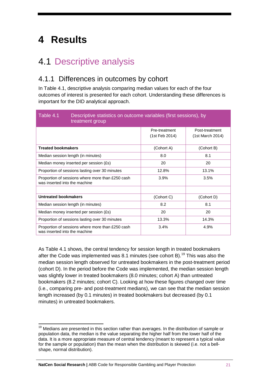# <span id="page-22-0"></span>**4 Results**

### <span id="page-22-1"></span>4.1 Descriptive analysis

### <span id="page-22-2"></span>4.1.1 Differences in outcomes by cohort

In Table 4.1, descriptive analysis comparing median values for each of the four outcomes of interest is presented for each cohort. Understanding these differences is important for the DID analytical approach.

| Table 4.1<br>Descriptive statistics on outcome variables (first sessions), by<br>treatment group |                                 |                                    |  |  |  |
|--------------------------------------------------------------------------------------------------|---------------------------------|------------------------------------|--|--|--|
|                                                                                                  | Pre-treatment<br>(1st Feb 2014) | Post-treatment<br>(1st March 2014) |  |  |  |
| <b>Treated bookmakers</b>                                                                        | (Cohort A)                      | (Cohort B)                         |  |  |  |
| Median session length (in minutes)                                                               | 8.0                             | 8.1                                |  |  |  |
| Median money inserted per session (£s)                                                           | 20                              | 20                                 |  |  |  |
| Proportion of sessions lasting over 30 minutes                                                   | 12.8%                           | 13.1%                              |  |  |  |
| Proportion of sessions where more than £250 cash<br>was inserted into the machine                | 3.9%                            | 3.5%                               |  |  |  |
|                                                                                                  |                                 |                                    |  |  |  |
| Untreated bookmakers                                                                             | (Cohort C)                      | (Cohort D)                         |  |  |  |
| Median session length (in minutes)                                                               | 8.2                             | 8.1                                |  |  |  |
| Median money inserted per session (£s)                                                           | 20                              | 20                                 |  |  |  |
| Proportion of sessions lasting over 30 minutes                                                   | 13.3%                           | 14.3%                              |  |  |  |
| Proportion of sessions where more than £250 cash<br>was inserted into the machine                | 3.4%                            | 4.9%                               |  |  |  |

As Table 4.1 shows, the central tendency for session length in treated bookmakers after the Code was implemented was 8.1 minutes (see cohort B). [19](#page-22-3) This was also the median session length observed for untreated bookmakers in the post-treatment period (cohort D). In the period before the Code was implemented, the median session length was slightly lower in treated bookmakers (8.0 minutes; cohort A) than untreated bookmakers (8.2 minutes; cohort C). Looking at how these figures changed over time (i.e., comparing pre- and post-treatment medians), we can see that the median session length increased (by 0.1 minutes) in treated bookmakers but decreased (by 0.1 minutes) in untreated bookmakers.

<span id="page-22-3"></span><sup>&</sup>lt;sup>19</sup> Medians are presented in this section rather than averages. In the distribution of sample or population data, the median is the value separating the higher half from the lower half of the data. It is a more appropriate measure of central tendency (meant to represent a typical value for the sample or population) than the mean when the distribution is skewed (i.e. not a bellshape, normal distribution).  $\overline{a}$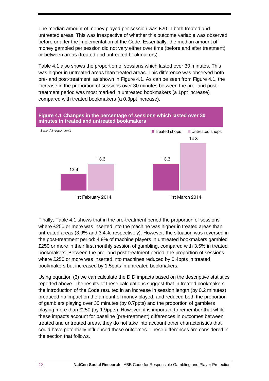The median amount of money played per session was £20 in both treated and untreated areas. This was irrespective of whether this outcome variable was observed before or after the implementation of the Code. Essentially, the median amount of money gambled per session did not vary either over time (before and after treatment) or between areas (treated and untreated bookmakers).

Table 4.1 also shows the proportion of sessions which lasted over 30 minutes. This was higher in untreated areas than treated areas. This difference was observed both pre- and post-treatment, as shown in Figure 4.1. As can be seen from Figure 4.1, the increase in the proportion of sessions over 30 minutes between the pre- and posttreatment period was most marked in untreated bookmakers (a 1ppt increase) compared with treated bookmakers (a 0.3ppt increase).



Finally, Table 4.1 shows that in the pre-treatment period the proportion of sessions where £250 or more was inserted into the machine was higher in treated areas than untreated areas (3.9% and 3.4%, respectively). However, the situation was reversed in the post-treatment period: 4.9% of machine players in untreated bookmakers gambled £250 or more in their first monthly session of gambling, compared with 3.5% in treated bookmakers. Between the pre- and post-treatment period, the proportion of sessions where £250 or more was inserted into machines reduced by 0.4ppts in treated bookmakers but increased by 1.5ppts in untreated bookmakers.

Using equation (3) we can calculate the DID impacts based on the descriptive statistics reported above. The results of these calculations suggest that in treated bookmakers the introduction of the Code resulted in an increase in session length (by 0.2 minutes), produced no impact on the amount of money played, and reduced both the proportion of gamblers playing over 30 minutes (by 0.7ppts) and the proportion of gamblers playing more than £250 (by 1.9ppts). However, it is important to remember that while these impacts account for baseline (pre-treatment) differences in outcomes between treated and untreated areas, they do not take into account other characteristics that could have potentially influenced these outcomes. These differences are considered in the section that follows.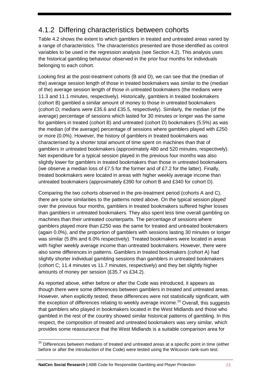### <span id="page-24-0"></span>4.1.2 Differing characteristics between cohorts

Table 4.2 shows the extent to which gamblers in treated and untreated areas varied by a range of characteristics. The characteristics presented are those identified as control variables to be used in the regression analysis (see Section 4.2). This analysis uses the historical gambling behaviour observed in the prior four months for individuals belonging to each cohort.

Looking first at the post-treatment cohorts (B and D), we can see that the (median of the) average session length of those in treated bookmakers was similar to the (median of the) average session length of those in untreated bookmakers (the medians were 11.3 and 11.1 minutes, respectively). Historically, gamblers in treated bookmakers (cohort B) gambled a similar amount of money to those in untreated bookmakers (cohort D; medians were £35.6 and £35.5, respectively). Similarly, the median (of the average) percentage of sessions which lasted for 30 minutes or longer was the same for gamblers in treated (cohort B) and untreated (cohort D) bookmakers (5.5%) as was the median (of the average) percentage of sessions where gamblers played with £250 or more (0.0%). However, the history of gamblers in treated bookmakers was characterised by a shorter total amount of time spent on machines than that of gamblers in untreated bookmakers (approximately 480 and 520 minutes, respectively). Net expenditure for a typical session played in the previous four months was also slightly lower for gamblers in treated bookmakers than those in untreated bookmakers (we observe a median loss of £7.5 for the former and of £7.2 for the latter). Finally, treated bookmakers were located in areas with higher weekly average income than untreated bookmakers (approximately £390 for cohort B and £340 for cohort D).

Comparing the two cohorts observed in the pre-treatment period (cohorts A and C), there are some similarities to the patterns noted above. On the typical session played over the previous four months, gamblers in treated bookmakers suffered higher losses than gamblers in untreated bookmakers. They also spent less time overall gambling on machines than their untreated counterparts. The percentage of sessions where gamblers played more than £250 was the same for treated and untreated bookmakers (again 0.0%), and the proportion of gamblers with sessions lasting 30 minutes or longer was similar (5.8% and 6.0% respectively). Treated bookmakers were located in areas with higher weekly average income than untreated bookmakers. However, there were also some differences in patterns. Gamblers in treated bookmakers (cohort A) had slightly shorter individual gambling sessions than gamblers in untreated bookmakers (cohort C; 11.4 minutes vs 11.7 minutes, respectively) and they bet slightly higher amounts of money per session (£35.7 vs £34.2).

As reported above, either before or after the Code was introduced, it appears as though there were some differences between gamblers in treated and untreated areas. However, when explicitly tested, these differences were not statistically significant, with the exception of differences relating to weekly average income.<sup>[20](#page-24-1)</sup> Overall, this suggests that gamblers who played in bookmakers located in the West Midlands and those who gambled in the rest of the country showed similar historical patterns of gambling. In this respect, the composition of treated and untreated bookmakers was very similar, which provides some reassurance that the West Midlands is a suitable comparison area for

 $\overline{a}$ 

<span id="page-24-1"></span> $^{20}$  Differences between medians of treated and untreated areas at a specific point in time (either before or after the introduction of the Code) were tested using the Wilcoxon rank-sum test.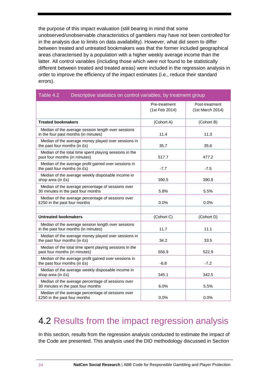the purpose of this impact evaluation (still bearing in mind that some unobserved/unobservable characteristics of gamblers may have not been controlled for in the analysis due to limits on data availability). However, what did seem to differ between treated and untreated bookmakers was that the former included geographical areas characterised by a population with a higher weekly average income than the latter. All control variables (including those which were not found to be statistically different between treated and treated areas) were included in the regression analysis in order to improve the efficiency of the impact estimates (i.e., reduce their standard errors).

| Table 4.2<br>Descriptive statistics on control variables, by treatment group               |                                 |                                    |  |  |  |  |
|--------------------------------------------------------------------------------------------|---------------------------------|------------------------------------|--|--|--|--|
|                                                                                            | Pre-treatment<br>(1st Feb 2014) | Post-treatment<br>(1st March 2014) |  |  |  |  |
| <b>Treated bookmakers</b>                                                                  | (Cohort A)                      | (Cohort B)                         |  |  |  |  |
| Median of the average session length over sessions<br>in the four past months (in minutes) | 11.4                            | 11.3                               |  |  |  |  |
| Median of the average money played over sessions in<br>the past four months (in £s)        | 35.7                            | 35.6                               |  |  |  |  |
| Median of the total time spent playing sessions in the<br>past four months (in minutes)    | 517.7                           | 477.2                              |  |  |  |  |
| Median of the average profit gained over sessions in<br>the past four months (in £s)       | -7.7                            | $-7.5$                             |  |  |  |  |
| Median of the average weekly disposable income in<br>shop area (in £s)                     | 390.5                           | 390.8                              |  |  |  |  |
| Median of the average percentage of sessions over<br>30 minutes in the past four months    | 5.8%                            | 5.5%                               |  |  |  |  |
| Median of the average percentage of sessions over<br>£250 in the past four months          | 0.0%                            | 0.0%                               |  |  |  |  |
|                                                                                            |                                 |                                    |  |  |  |  |
| <b>Untreated bookmakers</b>                                                                | (Cohort C)                      | (Cohort D)                         |  |  |  |  |
| Median of the average session length over sessions<br>in the past four months (in minutes) | 11.7                            | 11.1                               |  |  |  |  |
| Median of the average money played over sessions in<br>the past four months (in £s)        | 34.2                            | 33.5                               |  |  |  |  |
| Median of the total time spent playing sessions in the<br>past four months (in minutes)    | 556.9                           | 522.9                              |  |  |  |  |
| Median of the average profit gained over sessions in<br>the past four months (in £s)       | $-6.8$                          | $-7.2$                             |  |  |  |  |
| Median of the average weekly disposable income in<br>shop area (in £s)                     | 345.1                           | 342.5                              |  |  |  |  |
| Median of the average percentage of sessions over<br>30 minutes in the past four months    | 6.0%                            | 5.5%                               |  |  |  |  |
| Median of the average percentage of sessions over<br>£250 in the past four months          | 0.0%                            | 0.0%                               |  |  |  |  |

### <span id="page-25-0"></span>4.2 Results from the impact regression analysis

In this section, results from the regression analysis conducted to estimate the impact of the Code are presented. This analysis used the DID methodology discussed in Section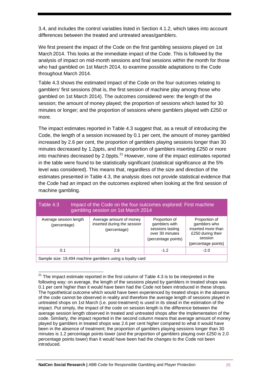3.4, and includes the control variables listed in Section 4.1.2, which takes into account differences between the treated and untreated areas/gamblers.

We first present the impact of the Code on the first gambling sessions played on 1st March 2014. This looks at the immediate impact of the Code. This is followed by the analysis of impact on mid-month sessions and final sessions within the month for those who had gambled on 1st March 2014, to examine possible adaptations to the Code throughout March 2014.

Table 4.3 shows the estimated impact of the Code on the four outcomes relating to gamblers' first sessions (that is, the first session of machine play among those who gambled on 1st March 2014). The outcomes considered were: the length of the session; the amount of money played; the proportion of sessions which lasted for 30 minutes or longer; and the proportion of sessions where gamblers played with £250 or more.

The impact estimates reported in Table 4.3 suggest that, as a result of introducing the Code, the length of a session increased by 0.1 per cent, the amount of money gambled increased by 2.6 per cent, the proportion of gamblers playing sessions longer than 30 minutes decreased by 1.2ppts, and the proportion of gamblers inserting £250 or more into machines decreased by 2.0ppts. $^{21}$  $^{21}$  $^{21}$  However, none of the impact estimates reported in the table were found to be statistically significant (statistical significance at the 5% level was considered). This means that, regardless of the size and direction of the estimates presented in Table 4.3, the analysis does not provide statistical evidence that the Code had an impact on the outcomes explored when looking at the first session of machine gambling.

| Table 4.3                                                 | Impact of the Code on the four outcomes explored: First machine<br>gambling session on 1st March 2014 |                                                                                              |                                                                                                            |  |  |  |
|-----------------------------------------------------------|-------------------------------------------------------------------------------------------------------|----------------------------------------------------------------------------------------------|------------------------------------------------------------------------------------------------------------|--|--|--|
| Average session length<br>(percentage)                    | Average amount of money<br>inserted during the session<br>(percentage)                                | Proportion of<br>gamblers with<br>sessions lasting<br>over 30 minutes<br>(percentage points) | Proportion of<br>gamblers who<br>inserted more than<br>£250 during their<br>session<br>(percentage points) |  |  |  |
| 0.1                                                       | 2.6                                                                                                   | $-1.2$                                                                                       | $-2.0$                                                                                                     |  |  |  |
| Sample size: 19,494 machine gamblers using a loyalty card |                                                                                                       |                                                                                              |                                                                                                            |  |  |  |

<span id="page-26-0"></span> $21$  The impact estimate reported in the first column of Table 4.3 is to be interpreted in the following way: on average, the length of the sessions played by gamblers in treated shops was 0.1 per cent higher than it would have been had the Code not been introduced in these shops. The hypothetical outcome which would have been experienced by treated shops in the absence of the code cannot be observed in reality and therefore the average length of sessions played in untreated shops on 1st March (i.e. post-treatment) is used in its stead in the estimation of the impact. Put simply, the impact of the code on session length is the difference between the average session length observed in treated and untreated shops after the implementation of the code. Similarly, the impact reported in the second column means that average amount of money played by gamblers in treated shops was 2.6 per cent higher compared to what it would have been in the absence of treatment; the proportion of gamblers playing sessions longer than 30 minutes is 1.2 percentage points lower (and the proportion of gamblers playing over £250 is 2.0 percentage points lower) than it would have been had the changes to the Code not been introduced.  $\overline{a}$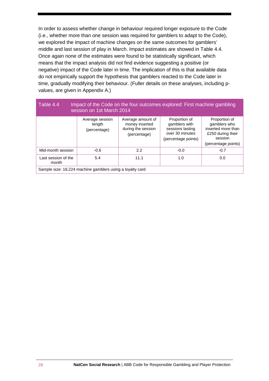In order to assess whether change in behaviour required longer exposure to the Code (i.e., whether more than one session was required for gamblers to adapt to the Code), we explored the impact of machine changes on the same outcomes for gamblers' middle and last session of play in March. Impact estimates are showed in Table 4.4. Once again none of the estimates were found to be statistically significant, which means that the impact analysis did not find evidence suggesting a positive (or negative) impact of the Code later in time. The implication of this is that available data do not empirically support the hypothesis that gamblers reacted to the Code later in time, gradually modifying their behaviour. (Fuller details on these analyses, including pvalues, are given in Appendix A.)

| Table 4.4<br>Impact of the Code on the four outcomes explored: First machine gambling<br>session on 1st March 2014 |                                           |                                                                           |                                                                                              |                                                                                                            |  |  |  |
|--------------------------------------------------------------------------------------------------------------------|-------------------------------------------|---------------------------------------------------------------------------|----------------------------------------------------------------------------------------------|------------------------------------------------------------------------------------------------------------|--|--|--|
|                                                                                                                    | Average session<br>length<br>(percentage) | Average amount of<br>money inserted<br>during the session<br>(percentage) | Proportion of<br>gamblers with<br>sessions lasting<br>over 30 minutes<br>(percentage points) | Proportion of<br>gamblers who<br>inserted more than<br>£250 during their<br>session<br>(percentage points) |  |  |  |
| Mid-month session                                                                                                  | $-0.6$                                    | 2.2                                                                       | $-0.0$                                                                                       | $-0.7$                                                                                                     |  |  |  |
| Last session of the<br>month                                                                                       | 5.4                                       | 11.1                                                                      | 1.0                                                                                          | 0.0                                                                                                        |  |  |  |
| Sample size: 18,224 machine gamblers using a loyalty card                                                          |                                           |                                                                           |                                                                                              |                                                                                                            |  |  |  |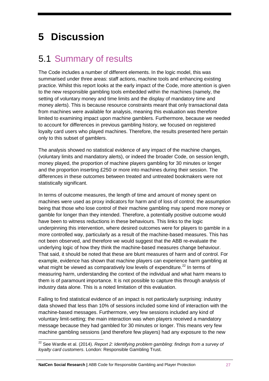# <span id="page-28-0"></span>**5 Discussion**

### <span id="page-28-1"></span>5.1 Summary of results

The Code includes a number of different elements. In the logic model, this was summarised under three areas: staff actions, machine tools and enhancing existing practice. Whilst this report looks at the early impact of the Code, more attention is given to the new responsible gambling tools embedded within the machines (namely, the setting of voluntary money and time limits and the display of mandatory time and money alerts). This is because resource constraints meant that only transactional data from machines were available for analysis, meaning this evaluation was therefore limited to examining impact upon machine gamblers. Furthermore, because we needed to account for differences in previous gambling history, we focused on registered loyalty card users who played machines. Therefore, the results presented here pertain only to this subset of gamblers.

The analysis showed no statistical evidence of any impact of the machine changes, (voluntary limits and mandatory alerts), or indeed the broader Code, on session length, money played, the proportion of machine players gambling for 30 minutes or longer and the proportion inserting £250 or more into machines during their session. The differences in these outcomes between treated and untreated bookmakers were not statistically significant.

In terms of outcome measures, the length of time and amount of money spent on machines were used as proxy indicators for harm and of loss of control; the assumption being that those who lose control of their machine gambling may spend more money or gamble for longer than they intended. Therefore, a potentially positive outcome would have been to witness reductions in these behaviours. This links to the logic underpinning this intervention, where desired outcomes were for players to gamble in a more controlled way, particularly as a result of the machine-based measures. This has not been observed, and therefore we would suggest that the ABB re-evaluate the underlying logic of how they think the machine-based measures change behaviour. That said, it should be noted that these are blunt measures of harm and of control. For example, evidence has shown that machine players can experience harm gambling at what might be viewed as comparatively low levels of expenditure.<sup>[22](#page-28-2)</sup> In terms of measuring harm, understanding the context of the individual and what harm means to them is of paramount importance. It is not possible to capture this through analysis of industry data alone. This is a noted limitation of this evaluation.

Failing to find statistical evidence of an impact is not particularly surprising: industry data showed that less than 10% of sessions included some kind of interaction with the machine-based messages. Furthermore, very few sessions included any kind of voluntary limit-setting; the main interaction was when players received a mandatory message because they had gambled for 30 minutes or longer. This means very few machine gambling sessions (and therefore few players) had any exposure to the new

<span id="page-28-2"></span><sup>&</sup>lt;sup>22</sup> See Wardle et al. (2014). *Report 2: Identifying problem gambling: findings from a survey of loyalty card customers*. London: Responsible Gambling Trust.  $\overline{a}$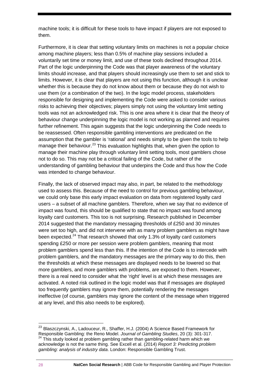machine tools; it is difficult for these tools to have impact if players are not exposed to them.

Furthermore, it is clear that setting voluntary limits on machines is not a popular choice among machine players; less than 0.5% of machine play sessions included a voluntarily set time or money limit, and use of these tools declined throughout 2014. Part of the logic underpinning the Code was that player awareness of the voluntary limits should increase, and that players should increasingly use them to set and stick to limits. However, it is clear that players are not using this function, although it is unclear whether this is because they do not know about them or because they do not wish to use them (or a combination of the two). In the logic model process, stakeholders responsible for designing and implementing the Code were asked to consider various risks to achieving their objectives; players simply not using the voluntary limit setting tools was not an acknowledged risk. This is one area where it is clear that the theory of behaviour change underpinning the logic model is not working as planned and requires further refinement. This again suggests that the logic underpinning the Code needs to be reassessed. Often responsible gambling interventions are predicated on the assumption that the gambler is 'rational' and needs simply to be given the tools to help manage their behaviour.<sup>[23](#page-29-0)</sup> This evaluation highlights that, when given the option to manage their machine play through voluntary limit setting tools, most gamblers chose not to do so. This may not be a critical failing of the Code, but rather of the understanding of gambling behaviour that underpins the Code and thus how the Code was intended to change behaviour.

Finally, the lack of observed impact may also, in part, be related to the methodology used to assess this. Because of the need to control for previous gambling behaviour, we could only base this early impact evaluation on data from registered loyalty card users – a subset of all machine gamblers. Therefore, when we say that no evidence of impact was found, this should be qualified to state that no impact was found among loyalty card customers. This too is not surprising. Research published in December 2014 suggested that the mandatory messaging thresholds of £250 and 30 minutes were set too high, and did not intervene with as many problem gamblers as might have been expected.<sup>[24](#page-29-1)</sup> That research showed that only 1.3% of loyalty card customers spending £250 or more per session were problem gamblers, meaning that most problem gamblers spend less than this. If the intention of the Code is to intercede with problem gamblers, and the mandatory messages are the primary way to do this, then the thresholds at which these messages are displayed needs to be lowered so that more gamblers, and more gamblers with problems, are exposed to them. However, there is a real need to consider what the 'right' level is at which these messages are activated. A noted risk outlined in the logic model was that if messages are displayed too frequently gamblers may ignore them, potentially rendering the messages ineffective (of course, gamblers may ignore the content of the message when triggered at any level, and this also needs to be explored).

<span id="page-29-1"></span><span id="page-29-0"></span><sup>&</sup>lt;sup>23</sup> Blaszczynski, A., Ladouceur, R., Shaffer, H.J. (2004) A Science Based Framework for Responsible Gambling: the Reno Model. *Journal of Gambling Studies*, 20 (3): 301-317.  $24$  This study looked at problem gambling rather than gambling-related harm which we acknowledge is not the same thing. See Excell et al. (2014) *Report 3: Predicting problem gambling: analysis of industry data*. London: Responsible Gambling Trust.  $\overline{a}$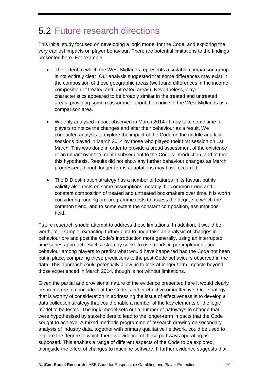### <span id="page-30-0"></span>5.2 Future research directions

This initial study focused on developing a logic model for the Code, and exploring the very earliest impacts on player behaviour. There are potential limitations to the findings presented here. For example:

- The extent to which the West Midlands represents a suitable comparison group is not entirely clear. Our analysis suggested that some differences may exist in the composition of these geographic areas (we found differences in the income composition of treated and untreated areas). Nevertheless, player characteristics appeared to be broadly similar in the treated and untreated areas, providing some reassurance about the choice of the West Midlands as a comparison area.
- We only analysed impact observed in March 2014. It may take some time for players to notice the changes and alter their behaviour as a result. We conducted analysis to explore the impact of the Code on the middle and last sessions played in March 2014 by those who played their first session on 1st March. This was done in order to provide a broad assessment of the existence of an impact over the month subsequent to the Code's introduction, and to test this hypothesis. Results did not show any further behaviour changes as March progressed, though longer terms adaptations may have occurred.
- The DID estimation strategy has a number of features in its favour, but its validity also rests on some assumptions, notably the common trend and constant composition of treated and untreated bookmakers over time. It is worth considering running pre-programme tests to assess the degree to which the common trend, and to some extent the constant composition, assumptions hold.

Future research should attempt to address these limitations. In addition, it would be worth, for example, extracting further data to undertake an analysis of changes in behaviour pre and post the Code's introduction more generally, using an interrupted time series approach. Such a strategy seeks to use trends in pre-implementation behaviour among players to predict what would have happened had the Code not been put in place, comparing these predictions to the post-Code behaviours observed in the data. This approach could potentially allow us to look at longer-term impacts beyond those experienced in March 2014, though is not without limitations.

Given the partial and provisional nature of the evidence presented here it would clearly be premature to conclude that the Code is either effective or ineffective. One strategy that is worthy of consideration in addressing the issue of effectiveness is to develop a data collection strategy that could enable a number of the key elements of the logic model to be tested. The logic model sets out a number of pathways to change that were hypothesised by stakeholders to lead to the longer-term impacts that the Code sought to achieve. A mixed methods programme of research drawing on secondary analysis of industry data, together with primary qualitative fieldwork, could be used to explore the degree to which there is evidence of these pathways operating as supposed. This enables a range of different aspects of the Code to be explored, alongside the effect of changes to machine software. If further evidence suggests that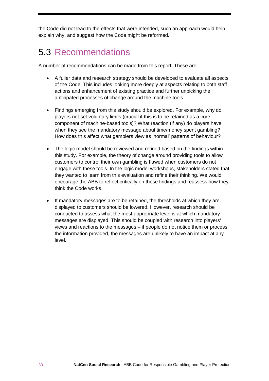the Code did not lead to the effects that were intended, such an approach would help explain why, and suggest how the Code might be reformed.

## <span id="page-31-0"></span>5.3 Recommendations

A number of recommendations can be made from this report. These are:

- A fuller data and research strategy should be developed to evaluate all aspects of the Code. This includes looking more deeply at aspects relating to both staff actions and enhancement of existing practice and further unpicking the anticipated processes of change around the machine tools.
- Findings emerging from this study should be explored. For example, why do players not set voluntary limits (crucial if this is to be retained as a core component of machine-based tools)? What reaction (if any) do players have when they see the mandatory message about time/money spent gambling? How does this affect what gamblers view as 'normal' patterns of behaviour?
- The logic model should be reviewed and refined based on the findings within this study. For example, the theory of change around providing tools to allow customers to control their own gambling is flawed when customers do not engage with these tools. In the logic model workshops, stakeholders stated that they wanted to learn from this evaluation and refine their thinking. We would encourage the ABB to reflect critically on these findings and reassess how they think the Code works.
- If mandatory messages are to be retained, the thresholds at which they are displayed to customers should be lowered. However, research should be conducted to assess what the most appropriate level is at which mandatory messages are displayed. This should be coupled with research into players' views and reactions to the messages – if people do not notice them or process the information provided, the messages are unlikely to have an impact at any level.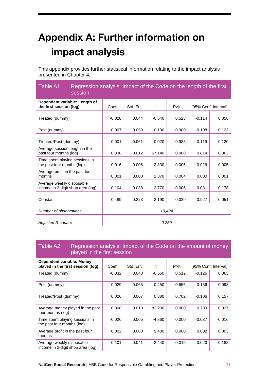# <span id="page-32-0"></span>**Appendix A: Further information on impact analysis**

This appendix provides further statistical information relating to the impact analysis presented in Chapter 4.

| Table A1<br>session                                            | Regression analysis: Impact of the Code on the length of the first |           |          |        |          |                      |  |
|----------------------------------------------------------------|--------------------------------------------------------------------|-----------|----------|--------|----------|----------------------|--|
| Dependent variable: Length of<br>the first session (log)       | Coeff.                                                             | Std. Err. | t        | P >  t |          | [95% Conf. Interval] |  |
| Treated (dummy)                                                | $-0.028$                                                           | 0.044     | $-0.640$ | 0.523  | $-0.114$ | 0.058                |  |
| Post (dummy)                                                   | 0.007                                                              | 0.059     | 0.130    | 0.900  | $-0.108$ | 0.123                |  |
| Treated*Post (dummy)                                           | 0.001                                                              | 0.061     | 0.020    | 0.988  | $-0.119$ | 0.120                |  |
| Average session length in the<br>past four months (log)        | 0.838                                                              | 0.012     | 67.140   | 0.000  | 0.814    | 0.863                |  |
| Time spent playing sessions in<br>the past four months (log)   | $-0.016$                                                           | 0.006     | $-2.830$ | 0.005  | $-0.026$ | $-0.005$             |  |
| Average profit in the past four<br>months                      | 0.001                                                              | 0.000     | 2.870    | 0.004  | 0.000    | 0.001                |  |
| Average weekly disposable<br>income in 2-digit shop area (log) | 0.104                                                              | 0.038     | 2.770    | 0.006  | 0.031    | 0.178                |  |
| Constant                                                       | $-0.489$                                                           | 0.223     | $-2.190$ | 0.029  | $-0.927$ | $-0.051$             |  |
| Number of observations                                         | 19,494                                                             |           |          |        |          |                      |  |
| <b>Adjusted R-square</b>                                       | 0.259                                                              |           |          |        |          |                      |  |

#### Table A2 Regression analysis: Impact of the Code on the amount of money played in the first session

| Dependent variable: Money<br>played in the first session (log) | Coeff.   | Std. Err. |          | $P>$  t | [95% Conf. Interval] |          |
|----------------------------------------------------------------|----------|-----------|----------|---------|----------------------|----------|
| Treated (dummy)                                                | $-0.032$ | 0.048     | $-0.660$ | 0.512   | $-0.126$             | 0.063    |
| Post (dummy)                                                   | $-0.029$ | 0.065     | $-0.450$ | 0.655   | $-0.156$             | 0.098    |
| Treated*Post (dummy)                                           | 0.026    | 0.067     | 0.380    | 0.702   | $-0.106$             | 0.157    |
| Average money played in the past<br>four months (log)          | 0.808    | 0.010     | 82.200   | 0.000   | 0.789                | 0.827    |
| Time spent playing sessions in<br>the past four months (log)   | $-0.026$ | 0.005     | -4.860   | 0.000   | $-0.037$             | $-0.016$ |
| Average profit in the past four<br>months                      | 0.002    | 0.000     | 9.400    | 0.000   | 0.002                | 0.003    |
| Average weekly disposable<br>income in 2-digit shop area (log) | 0.101    | 0.041     | 2.440    | 0.015   | 0.020                | 0.182    |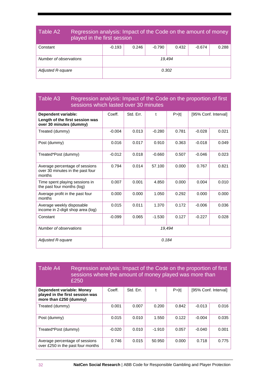#### Table A2 Regression analysis: Impact of the Code on the amount of money played in the first session

| Constant               | $-0.193$ | 0.246 | $-0.790$ | 0.432 | $-0.674$ | 0.288 |
|------------------------|----------|-------|----------|-------|----------|-------|
| Number of observations | 19,494   |       |          |       |          |       |
| Adjusted R-square      |          |       | 0.302    |       |          |       |

### Table A3 Regression analysis: Impact of the Code on the proportion of first sessions which lasted over 30 minutes

| <b>Dependent variable:</b><br>Length of the first session was<br>over 30 minutes (dummy) | Coeff.   | Std. Err. | $\mathbf{f}$ | P >  t |          | [95% Conf. Interval] |
|------------------------------------------------------------------------------------------|----------|-----------|--------------|--------|----------|----------------------|
| Treated (dummy)                                                                          | $-0.004$ | 0.013     | $-0.280$     | 0.781  | $-0.028$ | 0.021                |
| Post (dummy)                                                                             | 0.016    | 0.017     | 0.910        | 0.363  | $-0.018$ | 0.049                |
| Treated*Post (dummy)                                                                     | $-0.012$ | 0.018     | $-0.660$     | 0.507  | $-0.046$ | 0.023                |
| Average percentage of sessions<br>over 30 minutes in the past four<br>months             | 0.794    | 0.014     | 57.100       | 0.000  | 0.767    | 0.821                |
| Time spent playing sessions in<br>the past four months (log)                             | 0.007    | 0.001     | 4.850        | 0.000  | 0.004    | 0.010                |
| Average profit in the past four<br>months                                                | 0.000    | 0.000     | 1.050        | 0.292  | 0.000    | 0.000                |
| Average weekly disposable<br>income in 2-digit shop area (log)                           | 0.015    | 0.011     | 1.370        | 0.172  | $-0.006$ | 0.036                |
| Constant                                                                                 | $-0.099$ | 0.065     | $-1.530$     | 0.127  | $-0.227$ | 0.028                |
| Number of observations                                                                   | 19,494   |           |              |        |          |                      |
| Adjusted R-square                                                                        | 0.184    |           |              |        |          |                      |

| Table A4                                                                               | Regression analysis: Impact of the Code on the proportion of first<br>sessions where the amount of money played was more than<br>£250 |          |           |          |         |          |                      |
|----------------------------------------------------------------------------------------|---------------------------------------------------------------------------------------------------------------------------------------|----------|-----------|----------|---------|----------|----------------------|
| Dependent variable: Money<br>played in the first session was<br>more than £250 (dummy) |                                                                                                                                       | Coeff.   | Std. Frr. | t        | $P>$  t |          | [95% Conf. Interval] |
| Treated (dummy)                                                                        |                                                                                                                                       | 0.001    | 0.007     | 0.200    | 0.842   | $-0.013$ | 0.016                |
| Post (dummy)                                                                           |                                                                                                                                       | 0.015    | 0.010     | 1.550    | 0.122   | $-0.004$ | 0.035                |
| Treated*Post (dummy)                                                                   |                                                                                                                                       | $-0.020$ | 0.010     | $-1.910$ | 0.057   | $-0.040$ | 0.001                |
| Average percentage of sessions<br>over £250 in the past four months                    |                                                                                                                                       | 0.746    | 0.015     | 50.950   | 0.000   | 0.718    | 0.775                |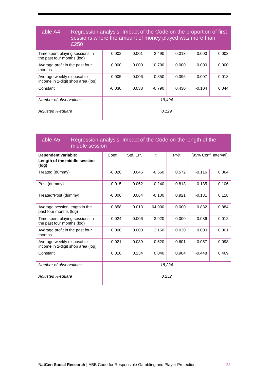#### Table A4 Regression analysis: Impact of the Code on the proportion of first sessions where the amount of money played was more than £250 Time spent playing sessions in Τ 0.002 | 0.001 | 2.490 | 0.013 | 0.000 | 0.003

| Thrie sperit playing sessions in<br>the past four months (log) | v.vvz    | <b>U.UU</b> I | 2.TJU    | <b>0.00</b> | v.vvv    | v.vvJ |
|----------------------------------------------------------------|----------|---------------|----------|-------------|----------|-------|
| Average profit in the past four<br>months                      | 0.000    | 0.000         | 10.790   | 0.000       | 0.000    | 0.000 |
| Average weekly disposable<br>income in 2-digit shop area (log) | 0.005    | 0.006         | 0.850    | 0.396       | $-0.007$ | 0.018 |
| Constant                                                       | $-0.030$ | 0.038         | $-0.790$ | 0.430       | $-0.104$ | 0.044 |
| Number of observations                                         | 19,494   |               |          |             |          |       |
| <b>Adjusted R-square</b>                                       | 0.129    |               |          |             |          |       |

#### Table A5 Regression analysis: Impact of the Code on the length of the middle session

| Dependent variable:<br>Length of the middle session<br>(log)   | Coeff.   | Std. Err. |          | P >  t | [95% Conf. Interval] |          |
|----------------------------------------------------------------|----------|-----------|----------|--------|----------------------|----------|
| Treated (dummy)                                                | $-0.026$ | 0.046     | $-0.560$ | 0.572  | $-0.116$             | 0.064    |
| Post (dummy)                                                   | $-0.015$ | 0.062     | $-0.240$ | 0.813  | $-0.135$             | 0.106    |
| Treated*Post (dummy)                                           | $-0.006$ | 0.064     | $-0.100$ | 0.921  | $-0.131$             | 0.118    |
| Average session length in the<br>past four months (log)        | 0.858    | 0.013     | 64.900   | 0.000  | 0.832                | 0.884    |
| Time spent playing sessions in<br>the past four months (log)   | $-0.024$ | 0.006     | $-3.920$ | 0.000  | $-0.036$             | $-0.012$ |
| Average profit in the past four<br>months                      | 0.000    | 0.000     | 2.160    | 0.030  | 0.000                | 0.001    |
| Average weekly disposable<br>income in 2-digit shop area (log) | 0.021    | 0.039     | 0.520    | 0.601  | $-0.057$             | 0.098    |
| Constant                                                       | 0.010    | 0.234     | 0.040    | 0.964  | $-0.448$             | 0.469    |
| Number of observations                                         | 18,224   |           |          |        |                      |          |
| <b>Adjusted R-square</b>                                       | 0.252    |           |          |        |                      |          |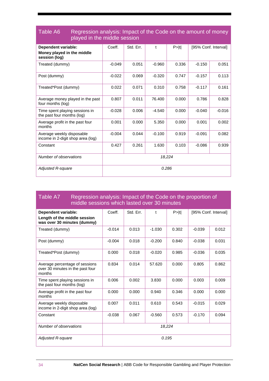| Table A6<br>Regression analysis: Impact of the Code on the amount of money<br>played in the middle session |          |           |             |        |          |                      |
|------------------------------------------------------------------------------------------------------------|----------|-----------|-------------|--------|----------|----------------------|
| Dependent variable:<br>Money played in the middle<br>session (log)                                         | Coeff.   | Std. Err. | $\mathbf t$ | P >  t |          | [95% Conf. Interval] |
| Treated (dummy)                                                                                            | $-0.049$ | 0.051     | $-0.960$    | 0.336  | $-0.150$ | 0.051                |
| Post (dummy)                                                                                               | $-0.022$ | 0.069     | $-0.320$    | 0.747  | $-0.157$ | 0.113                |
| Treated*Post (dummy)                                                                                       | 0.022    | 0.071     | 0.310       | 0.758  | $-0.117$ | 0.161                |
| Average money played in the past<br>four months (log)                                                      | 0.807    | 0.011     | 76.400      | 0.000  | 0.786    | 0.828                |
| Time spent playing sessions in<br>the past four months (log)                                               | $-0.028$ | 0.006     | $-4.540$    | 0.000  | $-0.040$ | $-0.016$             |
| Average profit in the past four<br>months                                                                  | 0.001    | 0.000     | 5.350       | 0.000  | 0.001    | 0.002                |
| Average weekly disposable<br>income in 2-digit shop area (log)                                             | $-0.004$ | 0.044     | $-0.100$    | 0.919  | $-0.091$ | 0.082                |
| Constant                                                                                                   | 0.427    | 0.261     | 1.630       | 0.103  | $-0.086$ | 0.939                |
| Number of observations                                                                                     | 18,224   |           |             |        |          |                      |
| <b>Adjusted R-square</b>                                                                                   | 0.286    |           |             |        |          |                      |

#### Table A7 Regression analysis: Impact of the Code on the proportion of middle sessions which lasted over 30 minutes

| Dependent variable:<br>Length of the middle session<br>was over 30 minutes (dummy) | Coeff.   | Std. Err. | t        | P >  t |          | [95% Conf. Interval] |
|------------------------------------------------------------------------------------|----------|-----------|----------|--------|----------|----------------------|
| Treated (dummy)                                                                    | $-0.014$ | 0.013     | $-1.030$ | 0.302  | $-0.039$ | 0.012                |
| Post (dummy)                                                                       | $-0.004$ | 0.018     | $-0.200$ | 0.840  | $-0.038$ | 0.031                |
| Treated*Post (dummy)                                                               | 0.000    | 0.018     | $-0.020$ | 0.985  | $-0.036$ | 0.035                |
| Average percentage of sessions<br>over 30 minutes in the past four<br>months       | 0.834    | 0.014     | 57.620   | 0.000  | 0.805    | 0.862                |
| Time spent playing sessions in<br>the past four months (log)                       | 0.006    | 0.002     | 3.830    | 0.000  | 0.003    | 0.009                |
| Average profit in the past four<br>months                                          | 0.000    | 0.000     | 0.940    | 0.346  | 0.000    | 0.000                |
| Average weekly disposable<br>income in 2-digit shop area (log)                     | 0.007    | 0.011     | 0.610    | 0.543  | $-0.015$ | 0.029                |
| Constant                                                                           | $-0.038$ | 0.067     | $-0.560$ | 0.573  | $-0.170$ | 0.094                |
| Number of observations                                                             | 18.224   |           |          |        |          |                      |
| Adjusted R-square                                                                  | 0.195    |           |          |        |          |                      |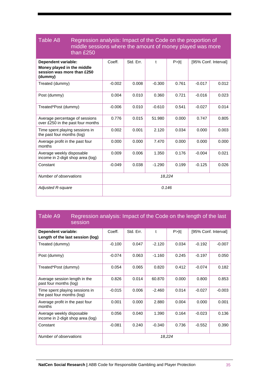#### Table A8 Regression analysis: Impact of the Code on the proportion of middle sessions where the amount of money played was more than £250

| Dependent variable:<br>Money played in the middle<br>session was more than £250<br>(dummy) | Coeff.   | Std. Err. | $\mathbf{f}$ | P >  t | [95% Conf. Interval] |       |
|--------------------------------------------------------------------------------------------|----------|-----------|--------------|--------|----------------------|-------|
| Treated (dummy)                                                                            | $-0.002$ | 0.008     | $-0.300$     | 0.761  | $-0.017$             | 0.012 |
| Post (dummy)                                                                               | 0.004    | 0.010     | 0.360        | 0.721  | $-0.016$             | 0.023 |
| Treated*Post (dummy)                                                                       | $-0.006$ | 0.010     | $-0.610$     | 0.541  | $-0.027$             | 0.014 |
| Average percentage of sessions<br>over £250 in the past four months                        | 0.776    | 0.015     | 51.980       | 0.000  | 0.747                | 0.805 |
| Time spent playing sessions in<br>the past four months (log)                               | 0.002    | 0.001     | 2.120        | 0.034  | 0.000                | 0.003 |
| Average profit in the past four<br>months                                                  | 0.000    | 0.000     | 7.470        | 0.000  | 0.000                | 0.000 |
| Average weekly disposable<br>income in 2-digit shop area (log)                             | 0.009    | 0.006     | 1.350        | 0.176  | $-0.004$             | 0.021 |
| Constant                                                                                   | $-0.049$ | 0.038     | $-1.290$     | 0.199  | $-0.125$             | 0.026 |
| Number of observations                                                                     | 18,224   |           |              |        |                      |       |
| <b>Adjusted R-square</b>                                                                   |          |           | 0.146        |        |                      |       |

#### Table A9 Regression analysis: Impact of the Code on the length of the last session

| <u>JEJJIUH I</u>                                               |          |           |              |        |          |                      |
|----------------------------------------------------------------|----------|-----------|--------------|--------|----------|----------------------|
| Dependent variable:<br>Length of the last session (log)        | Coeff.   | Std. Err. | $\mathbf{f}$ | P >  t |          | [95% Conf. Interval] |
| Treated (dummy)                                                | $-0.100$ | 0.047     | $-2.120$     | 0.034  | $-0.192$ | $-0.007$             |
| Post (dummy)                                                   | $-0.074$ | 0.063     | $-1.160$     | 0.245  | $-0.197$ | 0.050                |
| Treated*Post (dummy)                                           | 0.054    | 0.065     | 0.820        | 0.412  | $-0.074$ | 0.182                |
| Average session length in the<br>past four months (log)        | 0.826    | 0.014     | 60.870       | 0.000  | 0.800    | 0.853                |
| Time spent playing sessions in<br>the past four months (log)   | $-0.015$ | 0.006     | $-2.460$     | 0.014  | $-0.027$ | $-0.003$             |
| Average profit in the past four<br>months                      | 0.001    | 0.000     | 2.880        | 0.004  | 0.000    | 0.001                |
| Average weekly disposable<br>income in 2-digit shop area (log) | 0.056    | 0.040     | 1.390        | 0.164  | $-0.023$ | 0.136                |
| Constant                                                       | $-0.081$ | 0.240     | $-0.340$     | 0.736  | $-0.552$ | 0.390                |
| Number of observations                                         |          |           |              | 18,224 |          |                      |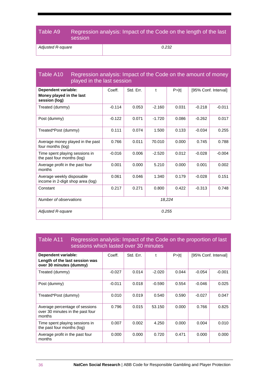### Table A9 Regression analysis: Impact of the Code on the length of the last session

*Adjusted R-square 0.232*

| Table A10<br>Regression analysis: Impact of the Code on the amount of money<br>played in the last session |          |           |          |        |                      |          |
|-----------------------------------------------------------------------------------------------------------|----------|-----------|----------|--------|----------------------|----------|
| Dependent variable:<br>Money played in the last<br>session (log)                                          | Coeff.   | Std. Err. | t        | P >  t | [95% Conf. Interval] |          |
| Treated (dummy)                                                                                           | $-0.114$ | 0.053     | $-2.160$ | 0.031  | $-0.218$             | $-0.011$ |
| Post (dummy)                                                                                              | $-0.122$ | 0.071     | $-1.720$ | 0.086  | $-0.262$             | 0.017    |
| Treated*Post (dummy)                                                                                      | 0.111    | 0.074     | 1.500    | 0.133  | $-0.034$             | 0.255    |
| Average money played in the past<br>four months (log)                                                     | 0.766    | 0.011     | 70.010   | 0.000  | 0.745                | 0.788    |
| Time spent playing sessions in<br>the past four months (log)                                              | $-0.016$ | 0.006     | $-2.520$ | 0.012  | $-0.028$             | $-0.004$ |
| Average profit in the past four<br>months                                                                 | 0.001    | 0.000     | 5.210    | 0.000  | 0.001                | 0.002    |
| Average weekly disposable<br>income in 2-digit shop area (log)                                            | 0.061    | 0.046     | 1.340    | 0.179  | $-0.028$             | 0.151    |
| Constant                                                                                                  | 0.217    | 0.271     | 0.800    | 0.422  | $-0.313$             | 0.748    |
| Number of observations                                                                                    | 18.224   |           |          |        |                      |          |
| <b>Adjusted R-square</b>                                                                                  | 0.255    |           |          |        |                      |          |

#### Table A11 Regression analysis: Impact of the Code on the proportion of last sessions which lasted over 30 minutes

| Dependent variable:<br>Length of the last session was<br>over 30 minutes (dummy) | Coeff.   | Std. Err. |          | $P>$  t | [95% Conf. Interval] |          |
|----------------------------------------------------------------------------------|----------|-----------|----------|---------|----------------------|----------|
| Treated (dummy)                                                                  | $-0.027$ | 0.014     | $-2.020$ | 0.044   | $-0.054$             | $-0.001$ |
| Post (dummy)                                                                     | $-0.011$ | 0.018     | $-0.590$ | 0.554   | $-0.046$             | 0.025    |
| Treated*Post (dummy)                                                             | 0.010    | 0.019     | 0.540    | 0.590   | $-0.027$             | 0.047    |
| Average percentage of sessions<br>over 30 minutes in the past four<br>months     | 0.796    | 0.015     | 53.150   | 0.000   | 0.766                | 0.825    |
| Time spent playing sessions in<br>the past four months (log)                     | 0.007    | 0.002     | 4.250    | 0.000   | 0.004                | 0.010    |
| Average profit in the past four<br>months                                        | 0.000    | 0.000     | 0.720    | 0.471   | 0.000                | 0.000    |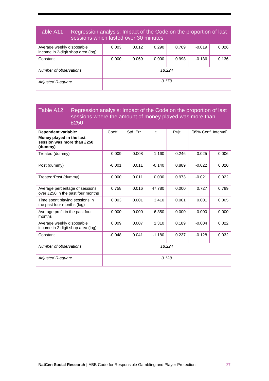#### Table A11 Regression analysis: Impact of the Code on the proportion of last sessions which lasted over 30 minutes Average weekly disposable income in 2-digit shop area (log)  $0.003$   $0.012$   $0.290$   $0.769$   $0.019$  0.026

| income in 2-digit shop area (log) |        |       |       |       |          |       |
|-----------------------------------|--------|-------|-------|-------|----------|-------|
| Constant                          | 0.000  | 0.069 | 0.000 | 0.998 | $-0.136$ | 0.136 |
|                                   |        |       |       |       |          |       |
| Number of observations            | 18.224 |       |       |       |          |       |
| Adjusted R-square                 | 0.173  |       |       |       |          |       |

#### Table A12 Regression analysis: Impact of the Code on the proportion of last sessions where the amount of money played was more than £250

| <b>Dependent variable:</b><br>Money played in the last<br>session was more than £250<br>(dummy) | Coeff.   | Std. Err. | t        | P >  t | [95% Conf. Interval] |       |
|-------------------------------------------------------------------------------------------------|----------|-----------|----------|--------|----------------------|-------|
| Treated (dummy)                                                                                 | $-0.009$ | 0.008     | $-1.160$ | 0.246  | $-0.025$             | 0.006 |
| Post (dummy)                                                                                    | $-0.001$ | 0.011     | $-0.140$ | 0.889  | $-0.022$             | 0.020 |
| Treated*Post (dummy)                                                                            | 0.000    | 0.011     | 0.030    | 0.973  | $-0.021$             | 0.022 |
| Average percentage of sessions<br>over £250 in the past four months                             | 0.758    | 0.016     | 47.780   | 0.000  | 0.727                | 0.789 |
| Time spent playing sessions in<br>the past four months (log)                                    | 0.003    | 0.001     | 3.410    | 0.001  | 0.001                | 0.005 |
| Average profit in the past four<br>months                                                       | 0.000    | 0.000     | 6.350    | 0.000  | 0.000                | 0.000 |
| Average weekly disposable<br>income in 2-digit shop area (log)                                  | 0.009    | 0.007     | 1.310    | 0.189  | $-0.004$             | 0.022 |
| Constant                                                                                        | $-0.048$ | 0.041     | $-1.180$ | 0.237  | $-0.128$             | 0.032 |
| Number of observations                                                                          | 18,224   |           |          |        |                      |       |
| Adjusted R-square                                                                               |          |           | 0.128    |        |                      |       |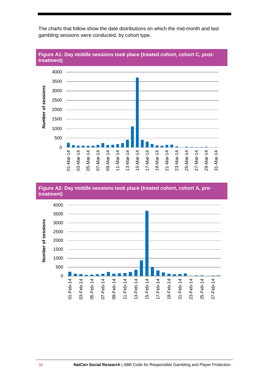

The charts that follow show the date distributions on which the mid-month and last gambling sessions were conducted, by cohort type.



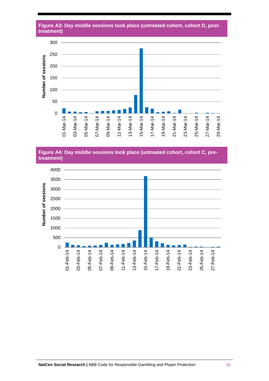#### **Figure A3: Day middle sessions took place (untreated cohort, cohort D, posttreatment)**



**Figure A4: Day middle sessions took place (untreated cohort, cohort C, pretreatment)**

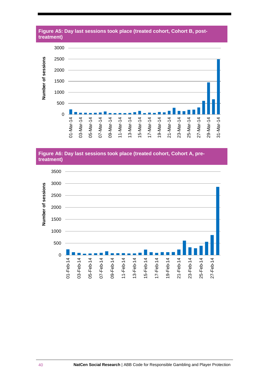

## **Figure A5: Day last sessions took place (treated cohort, Cohort B, post-**

#### **Figure A6: Day last sessions took place (treated cohort, Cohort A, pretreatment)**

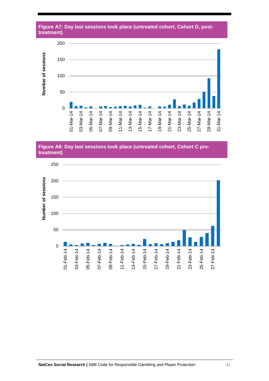



**Figure A8: Day last sessions took place (untreated cohort, Cohort C pretreatment)**

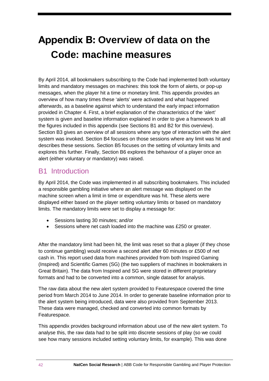# <span id="page-43-0"></span>**Appendix B: Overview of data on the Code: machine measures**

By April 2014, all bookmakers subscribing to the Code had implemented both voluntary limits and mandatory messages on machines: this took the form of alerts, or pop-up messages, when the player hit a time or monetary limit. This appendix provides an overview of how many times these 'alerts' were activated and what happened afterwards, as a baseline against which to understand the early impact information provided in Chapter 4. First, a brief explanation of the characteristics of the 'alert' system is given and baseline information explained in order to give a framework to all the figures included in this appendix (see Sections B1 and B2 for this overview). Section B3 gives an overview of all sessions where any type of interaction with the alert system was invoked. Section B4 focuses on those sessions where any limit was hit and describes these sessions. Section B5 focuses on the setting of voluntary limits and explores this further. Finally, Section B6 explores the behaviour of a player once an alert (either voluntary or mandatory) was raised.

### <span id="page-43-1"></span>B1 Introduction

By April 2014, the Code was implemented in all subscribing bookmakers. This included a responsible gambling initiative where an alert message was displayed on the machine screen when a limit in time or expenditure was hit. These alerts were displayed either based on the player setting voluntary limits or based on mandatory limits. The mandatory limits were set to display a message for:

- Sessions lasting 30 minutes; and/or
- Sessions where net cash loaded into the machine was £250 or greater.

After the mandatory limit had been hit, the limit was reset so that a player (if they chose to continue gambling) would receive a second alert after 60 minutes or £500 of net cash in. This report used data from machines provided from both Inspired Gaming (Inspired) and Scientific Games (SG) (the two suppliers of machines in bookmakers in Great Britain). The data from Inspired and SG were stored in different proprietary formats and had to be converted into a common, single dataset for analysis.

The raw data about the new alert system provided to Featurespace covered the time period from March 2014 to June 2014. In order to generate baseline information prior to the alert system being introduced, data were also provided from September 2013. These data were managed, checked and converted into common formats by Featurespace.

This appendix provides background information about use of the new alert system. To analyse this, the raw data had to be split into discrete sessions of play (so we could see how many sessions included setting voluntary limits, for example). This was done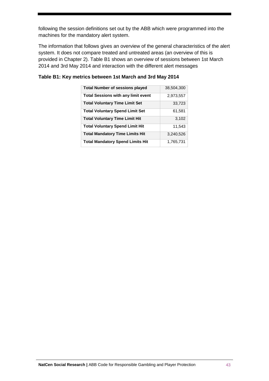following the session definitions set out by the ABB which were programmed into the machines for the mandatory alert system.

The information that follows gives an overview of the general characteristics of the alert system. It does not compare treated and untreated areas (an overview of this is provided in Chapter 2). Table B1 shows an overview of sessions between 1st March 2014 and 3rd May 2014 and interaction with the different alert messages

| <b>Total Number of sessions played</b>     | 38,504,300 |
|--------------------------------------------|------------|
| <b>Total Sessions with any limit event</b> | 2,973,557  |
| <b>Total Voluntary Time Limit Set</b>      | 33,723     |
| <b>Total Voluntary Spend Limit Set</b>     | 61,581     |
| <b>Total Voluntary Time Limit Hit</b>      | 3,102      |
| <b>Total Voluntary Spend Limit Hit</b>     | 11,543     |
| <b>Total Mandatory Time Limits Hit</b>     | 3.240.526  |
| <b>Total Mandatory Spend Limits Hit</b>    | 1,765,731  |

#### **Table B1: Key metrics between 1st March and 3rd May 2014**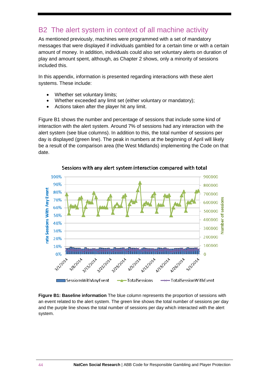### <span id="page-45-0"></span>B2 The alert system in context of all machine activity

As mentioned previously, machines were programmed with a set of mandatory messages that were displayed if individuals gambled for a certain time or with a certain amount of money. In addition, individuals could also set voluntary alerts on duration of play and amount spent, although, as Chapter 2 shows, only a minority of sessions included this.

In this appendix, information is presented regarding interactions with these alert systems. These include:

- Whether set voluntary limits;
- Whether exceeded any limit set (either voluntary or mandatory);
- Actions taken after the player hit any limit.

[Figure B1](#page-45-1) shows the number and percentage of sessions that include some kind of interaction with the alert system. Around 7% of sessions had any interaction with the alert system (see blue columns). In addition to this, the total number of sessions per day is displayed (green line). The peak in numbers at the beginning of April will likely be a result of the comparison area (the West Midlands) implementing the Code on that date.



Sessions with any alert system interaction compared with total

<span id="page-45-1"></span>**Figure B1: Baseline information** The blue column represents the proportion of sessions with an event related to the alert system. The green line shows the total number of sessions per day and the purple line shows the total number of sessions per day which interacted with the alert system.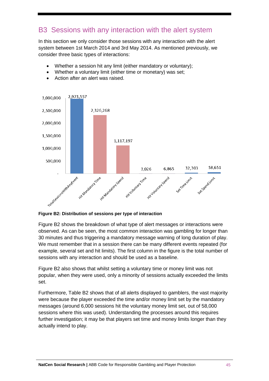### <span id="page-46-0"></span>B3 Sessions with any interaction with the alert system

In this section we only consider those sessions with any interaction with the alert system between 1st March 2014 and 3rd May 2014. As mentioned previously, we consider three basic types of interactions:

- Whether a session hit any limit (either mandatory or voluntary);
- Whether a voluntary limit (either time or monetary) was set;



• Action after an alert was raised.

#### **Figure B2: Distribution of sessions per type of interaction**

Figure B2 shows the breakdown of what type of alert messages or interactions were observed. As can be seen, the most common interaction was gambling for longer than 30 minutes and thus triggering a mandatory message warning of long duration of play. We must remember that in a session there can be many different events repeated (for example, several set and hit limits). The first column in the figure is the total number of sessions with any interaction and should be used as a baseline.

Figure B2 also shows that whilst setting a voluntary time or money limit was not popular, when they were used, only a minority of sessions actually exceeded the limits set.

Furthermore, Table B2 shows that of all alerts displayed to gamblers, the vast majority were because the player exceeded the time and/or money limit set by the mandatory messages (around 6,000 sessions hit the voluntary money limit set, out of 58,000 sessions where this was used). Understanding the processes around this requires further investigation; it may be that players set time and money limits longer than they actually intend to play.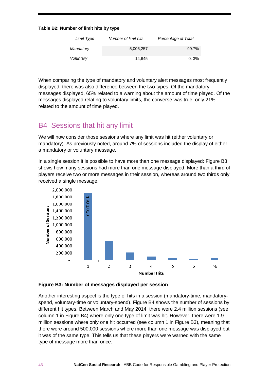#### **Table B2: Number of limit hits by type**

| Limit Type | Number of limit hits | Percentage of Total |
|------------|----------------------|---------------------|
| Mandatory  | 5,006,257            | 99.7%               |
| Voluntary  | 14.645               | 0.3%                |

When comparing the type of mandatory and voluntary alert messages most frequently displayed, there was also difference between the two types. Of the mandatory messages displayed, 65% related to a warning about the amount of time played. Of the messages displayed relating to voluntary limits, the converse was true: only 21% related to the amount of time played.

### <span id="page-47-0"></span>B4 Sessions that hit any limit

We will now consider those sessions where any limit was hit (either voluntary or mandatory). As previously noted, around 7% of sessions included the display of either a mandatory or voluntary message.

In a single session it is possible to have more than one message displayed: Figure B3 shows how many sessions had more than one message displayed. More than a third of players receive two or more messages in their session, whereas around two thirds only received a single message.



#### **Figure B3: Number of messages displayed per session**

Another interesting aspect is the type of hits in a session (mandatory-time, mandatoryspend, voluntary-time or voluntary-spend). Figure B4 shows the number of sessions by different hit types. Between March and May 2014, there were 2.4 million sessions (see column 1 in Figure B4) where only one type of limit was hit. However, there were 1.9 million sessions where only one hit occurred (see column 1 in Figure B3), meaning that there were around 500,000 sessions where more than one message was displayed but it was of the same type. This tells us that these players were warned with the same type of message more than once.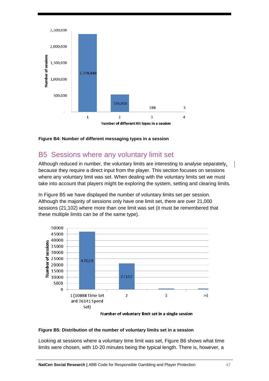

**Figure B4: Number of different messaging types in a session**

### <span id="page-48-0"></span>B5 Sessions where any voluntary limit set

Although reduced in number, the voluntary limits are interesting to analyse separately, because they require a direct input from the player. This section focuses on sessions where any voluntary limit was set. When dealing with the voluntary limits set we must take into account that players might be exploring the system, setting and clearing limits.

In Figure B5 we have displayed the number of voluntary limits set per session. Although the majority of sessions only have one limit set, there are over 21,000 sessions (21,102) where more than one limit was set (it must be remembered that these multiple limits can be of the same type).



Number of voluntary limit set in a single session

#### **Figure B5: Distribution of the number of voluntary limits set in a session**

Looking at sessions where a voluntary time limit was set, Figure B6 shows what time limits were chosen, with 10-20 minutes being the typical length. There is, however, a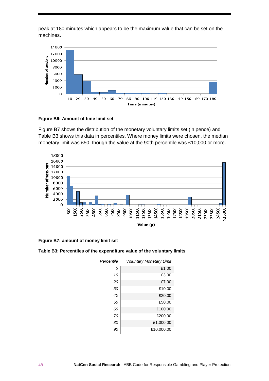peak at 180 minutes which appears to be the maximum value that can be set on the machines.



#### **Figure B6: Amount of time limit set**

Figure B7 shows the distribution of the monetary voluntary limits set (in pence) and Table B3 shows this data in percentiles. Where money limits were chosen, the median monetary limit was £50, though the value at the 90th percentile was £10,000 or more.



**Figure B7: amount of money limit set**

#### **Table B3: Percentiles of the expenditure value of the voluntary limits**

| Percentile | <b>Voluntary Monetary Limit</b> |  |
|------------|---------------------------------|--|
| 5          | £1.00                           |  |
| 10         | £3.00                           |  |
| 20         | £7.00                           |  |
| 30         | £10.00                          |  |
| 40         | £20.00                          |  |
| 50         | £50.00                          |  |
| 60         | £100.00                         |  |
| 70         | £200.00                         |  |
| 80         | £1,000.00                       |  |
| 90         | £10,000.00                      |  |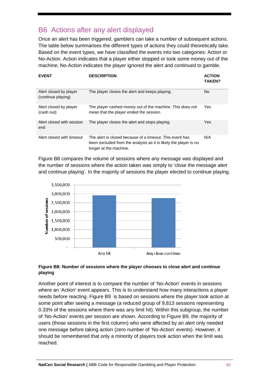### <span id="page-50-0"></span>B6 Actions after any alert displayed

Once an alert has been triggered, gamblers can take a number of subsequent actions. The table below summarises the different types of actions they could theoretically take. Based on the event types, we have classified the events into two categories: Action or No-Action. Action indicates that a player either stopped or took some money out of the machine; No-Action indicates the player ignored the alert and continued to gamble.

| <b>EVENT</b>                                 | <b>DESCRIPTION</b>                                                                                                                                     | <b>ACTION</b><br><b>TAKEN?</b> |
|----------------------------------------------|--------------------------------------------------------------------------------------------------------------------------------------------------------|--------------------------------|
| Alert closed by player<br>(continue playing) | The player closes the alert and keeps playing.                                                                                                         | No                             |
| Alert closed by player<br>(cash out)         | The player cashed money out of the machine. This does not<br>mean that the player ended the session.                                                   | Yes                            |
| Alert closed with session<br>end             | The player closes the alert and stops playing.                                                                                                         | Yes                            |
| Alert closed with timeout                    | The alert is closed because of a timeout. This event has<br>been excluded from the analysis as it is likely the player is no<br>longer at the machine. | N/A                            |

Figure B8 compares the volume of sessions where any message was displayed and the number of sessions where the action taken was simply to 'close the message alert and continue playing'. In the majority of sessions the player elected to continue playing.



#### **Figure B8: Number of sessions where the player chooses to close alert and continue playing**

Another point of interest is to compare the number of 'No-Action' events in sessions where an 'Action' event appears. This is to understand how many interactions a player needs before reacting. [Figure](#page-51-0) B9 is based on sessions where the player took action at some point after seeing a message (a reduced group of 9,813 sessions representing 0.33% of the sessions where there was any limit hit). Within this subgroup, the number of 'No-Action' events per session are shown. According to Figure B9, the majority of users (those sessions in the first column) who were affected by an alert only needed one message before taking action (zero number of 'No-Action' events). However, it should be remembered that only a minority of players took action when the limit was reached.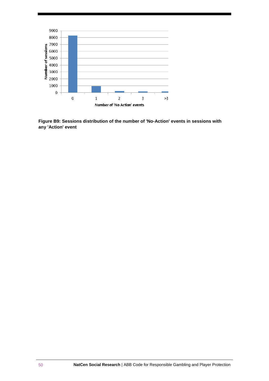

<span id="page-51-0"></span>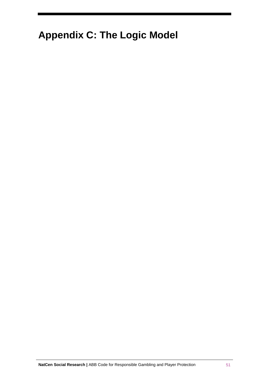# <span id="page-52-0"></span>**Appendix C: The Logic Model**